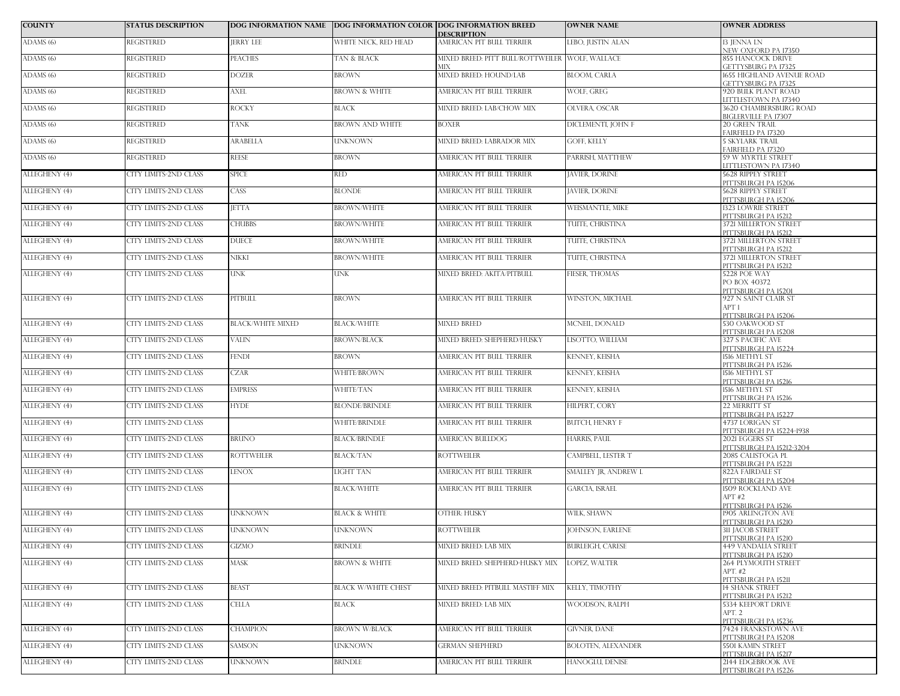| <b>COUNTY</b>        | <b>STATUS DESCRIPTION</b>    |                          | DOG INFORMATION NAME DOG INFORMATION COLOR DOG INFORMATION BREED | <b>DESCRIPTION</b>                                     | <b>OWNER NAME</b>         | <b>OWNER ADDRESS</b>                                     |
|----------------------|------------------------------|--------------------------|------------------------------------------------------------------|--------------------------------------------------------|---------------------------|----------------------------------------------------------|
| ADAMS (6)            | REGISTERED                   | <b>JERRY LEE</b>         | WHITE NECK, RED HEAD                                             | AMERICAN PIT BULL TERRIER                              | LEBO, JUSTIN ALAN         | <b>13 IENNA LN</b><br>NEW OXFORD PA 17350                |
| ADAMS <sub>(6)</sub> | <b>REGISTERED</b>            | <b>PEACHES</b>           | TAN & BLACK                                                      | MIXED BREED: PITT BULL/ROTTWEILER WOLF, WALLACE<br>МIХ |                           | 855 HANCOCK DRIVE<br><b>GETTYSBURG PA 17325</b>          |
| ADAMS (6)            | <b>REGISTERED</b>            | <b>DOZER</b>             | <b>BROWN</b>                                                     | MIXED BREED: HOUND/LAB                                 | <b>BLOOM, CARLA</b>       | 1655 HIGHLAND AVENUE ROAD                                |
| ADAMS (6)            | <b>REGISTERED</b>            | <b>AXEL</b>              | <b>BROWN &amp; WHITE</b>                                         | AMERICAN PIT BULL TERRIER                              | WOLF, GREG                | GETTYSBURG PA 17325<br>920 BULK PLANT ROAD               |
| ADAMS (6)            | <b>REGISTERED</b>            | <b>ROCKY</b>             | <b>BLACK</b>                                                     | MIXED BREED: LAB/CHOW MIX                              | OLVERA, OSCAR             | LITTLESTOWN PA 17340<br>3620 CHAMBERSBURG ROAD           |
| ADAMS (6)            | <b>REGISTERED</b>            | <b>TANK</b>              | <b>BROWN AND WHITE</b>                                           | <b>BOXER</b>                                           | DICLEMENTI, JOHN F        | <b>BIGLERVILLE PA 17307</b><br>20 GREEN TRAIL            |
| ADAMS (6)            | <b>REGISTERED</b>            | ARABELLA                 | UNKNOWN                                                          | MIXED BREED: LABRADOR MIX                              | GOFF, KELLY               | <b>FAIRFIELD PA 17320</b><br><b>5 SKYLARK TRAIL</b>      |
| ADAMS (6)            | <b>REGISTERED</b>            | <b>REESE</b>             | BROWN                                                            | AMERICAN PIT BULL TERRIER                              | PARRISH, MATTHEW          | FAIRFIELD PA 17320<br><b>59 W MYRTLE STREET</b>          |
| ALLEGHENY (4)        | <b>CITY LIMITS-2ND CLASS</b> | <b>SPICE</b>             | <b>RED</b>                                                       | AMERICAN PIT BULL TERRIER                              | <b>JAVIER, DORINE</b>     | <b>LITTLESTOWN PA 17340</b><br><b>5628 RIPPEY STREET</b> |
| ALLEGHENY (4)        | CITY LIMITS-2ND CLASS        | CASS <sub>.</sub>        | <b>BLONDE</b>                                                    | AMERICAN PIT BULL TERRIER                              | <b>JAVIER, DORINE</b>     | PITTSBURGH PA 15206<br><b>5628 RIPPEY STREET</b>         |
| ALLEGHENY (4)        | CITY LIMITS-2ND CLASS        | <b>JETTA</b>             | <b>BROWN/WHITE</b>                                               | AMERICAN PIT BULL TERRIER                              | WEISMANTLE, MIKE          | PITTSBURGH PA 15206<br><b>1323 LOWRIE STREET</b>         |
| ALLEGHENY (4)        | CITY LIMITS-2ND CLASS        | <b>CHUBBS</b>            | <b>BROWN/WHITE</b>                                               | AMERICAN PIT BULL TERRIER                              | TUITE, CHRISTINA          | PITTSBURGH PA 15212<br>3721 MILLERTON STREET             |
| ALLEGHENY (4)        | CITY LIMITS-2ND CLASS        | <b>DUECE</b>             | <b>BROWN/WHITE</b>                                               | AMERICAN PIT BULL TERRIER                              | TUITE, CHRISTINA          | PITTSBURGH PA 15212<br>3721 MILLERTON STREET             |
| ALLEGHENY (4)        | <b>CITY LIMITS-2ND CLASS</b> | NIKKI                    | <b>BROWN/WHITE</b>                                               | AMERICAN PIT BULL TERRIER                              | TUITE, CHRISTINA          | PITTSBURGH PA 15212<br>3721 MILLERTON STREET             |
|                      |                              |                          |                                                                  |                                                        |                           | PITTSBURGH PA 15212                                      |
| ALLEGHENY (4)        | CITY LIMITS-2ND CLASS        | <b>UNK</b>               | UNK                                                              | MIXED BREED: AKITA/PITBULL                             | FIESER, THOMAS            | 5228 POE WAY<br>PO BOX 40372<br>PITTSBURGH PA 15201      |
| ALLEGHENY (4)        | CITY LIMITS-2ND CLASS        | <b>PITBULL</b>           | <b>BROWN</b>                                                     | AMERICAN PIT BULL TERRIER                              | WINSTON, MICHAEL          | 927 N SAINT CLAIR ST<br>APT 1                            |
| ALLEGHENY (4)        | CITY LIMITS-2ND CLASS        | <b>BLACK/WHITE MIXED</b> | <b>BLACK/WHITE</b>                                               | <b>MIXED BREED</b>                                     | MCNEIL, DONALD            | PITTSBURGH PA 15206<br>530 OAKWOOD ST                    |
| ALLEGHENY (4)        | CITY LIMITS-2ND CLASS        | <b>VALIN</b>             | <b>BROWN/BLACK</b>                                               | MIXED BREED: SHEPHERD/HUSKY                            | LISOTTO. WILLIAM          | PITTSBURGH PA 15208<br>327 S PACIFIC AVE                 |
| ALLEGHENY (4)        | CITY LIMITS-2ND CLASS        | <b>FENDI</b>             | <b>BROWN</b>                                                     | AMERICAN PIT BULL TERRIER                              | KENNEY, KEISHA            | PITTSBURGH PA 15224<br>1516 METHYL ST                    |
| ALLEGHENY (4)        | CITY LIMITS-2ND CLASS        | <b>CZAR</b>              | WHITE/BROWN                                                      | AMERICAN PIT BULL TERRIER                              | KENNEY, KEISHA            | PITTSBURGH PA 15216<br>1516 METHYL ST                    |
| ALLEGHENY (4)        | CITY LIMITS-2ND CLASS        | <b>EMPRESS</b>           | WHITE/TAN                                                        | AMERICAN PIT BULL TERRIER                              | KENNEY, KEISHA            | PITTSBURGH PA 15216<br>1516 METHYL ST                    |
| ALLEGHENY (4)        | CITY LIMITS-2ND CLASS        | <b>HYDE</b>              | <b>BLONDE/BRINDLE</b>                                            | AMERICAN PIT BULL TERRIER                              | HILPERT, CORY             | PITTSBURGH PA 15216<br>22 MERRITT ST                     |
| ALLEGHENY (4)        | CITY LIMITS-2ND CLASS        |                          | <b>WHITE/BRINDLE</b>                                             | AMERICAN PIT BULL TERRIER                              | <b>BUTCH, HENRY F</b>     | PITTSBURGH PA 15227<br>4737 LORIGAN ST                   |
| ALLEGHENY (4)        | CITY LIMITS-2ND CLASS        | <b>BRUNO</b>             | <b>BLACK/BRINDLE</b>                                             | AMERICAN BULLDOG                                       | HARRIS, PAUL              | PITTSBURGH PA 15224-1938<br>2021 EGGERS ST               |
| ALLEGHENY (4)        | CITY LIMITS-2ND CLASS        | <b>ROTTWEILER</b>        | <b>BLACK/TAN</b>                                                 | <b>ROTTWEILER</b>                                      | CAMPBELL, LESTER T        | PITTSBURGH PA 15212-3204<br>2085 CALISTOGA PL            |
| ALLEGHENY (4)        | CITY LIMITS-2ND CLASS        | <b>LENOX</b>             | LIGHT TAN                                                        | AMERICAN PIT BULL TERRIER                              | SMALLEY JR, ANDREW L      | PITTSBURGH PA 15221<br>822A FAIRDALE ST                  |
| ALLEGHENY (4)        | <b>CITY LIMITS-2ND CLASS</b> |                          | <b>BLACK/WHITE</b>                                               | AMERICAN PIT BULL TERRIER                              | <b>GARCIA, ISRAEL</b>     | PITTSBURGH PA 15204<br><b>1509 ROCKLAND AVE</b>          |
|                      |                              |                          |                                                                  |                                                        |                           | APT#2<br>PITTSBURGH PA 15216                             |
| ALLEGHENY (4)        | CITY LIMITS-2ND CLASS        | <b>UNKNOWN</b>           | <b>BLACK &amp; WHITE</b>                                         | OTHER: HUSKY                                           | WILK, SHAWN               | 1905 ARLINGTON AVE<br>PITTSBURGH PA 15210                |
| ALLEGHENY (4)        | <b>CITY LIMITS-2ND CLASS</b> | <b>UNKNOWN</b>           | <b>UNKNOWN</b>                                                   | <b>ROTTWEILER</b>                                      | JOHNSON, EARLENE          | <b>311 JACOB STREET</b><br>PITTSBURGH PA 15210           |
| ALLEGHENY (4)        | CITY LIMITS-2ND CLASS        | GIZMO                    | <b>BRINDLE</b>                                                   | MIXED BREED: LAB MIX                                   | <b>BURLEIGH, CARESE</b>   | <b>449 VANDALIA STREET</b><br>PITTSBURGH PA 15210        |
| ALLEGHENY (4)        | CITY LIMITS-2ND CLASS        | <b>MASK</b>              | <b>BROWN &amp; WHITE</b>                                         | MIXED BREED: SHEPHERD-HUSKY MIX                        | LOPEZ, WALTER             | 264 PLYMOUTH STREET<br>APT. #2                           |
| ALLEGHENY (4)        | CITY LIMITS-2ND CLASS        | <b>BEAST</b>             | <b>BLACK W/WHITE CHEST</b>                                       | MIXED BREED: PITBULL MASTIFF MIX                       | KELLY, TIMOTHY            | PITTSBURGH PA 15211<br><b>14 SHANK STREET</b>            |
|                      |                              |                          |                                                                  |                                                        |                           | PITTSBURGH PA 15212                                      |
| ALLEGHENY (4)        | CITY LIMITS-2ND CLASS        | <b>CELLA</b>             | <b>BLACK</b>                                                     | MIXED BREED: LAB MIX                                   | WOODSON, RALPH            | 5334 KEEPORT DRIVE<br>APT. 2<br>PITTSBURGH PA 15236      |
| ALLEGHENY (4)        | <b>CITY LIMITS-2ND CLASS</b> | <b>CHAMPION</b>          | <b>BROWN W/BLACK</b>                                             | AMERICAN PIT BULL TERRIER                              | <b>GIVNER, DANE</b>       | 7424 FRANKSTOWN AVE<br>PITTSBURGH PA 15208               |
| ALLEGHENY (4)        | CITY LIMITS-2ND CLASS        | <b>SAMSON</b>            | <b>UNKNOWN</b>                                                   | <b>GERMAN SHEPHERD</b>                                 | <b>BOLOTEN, ALEXANDER</b> | <b>5501 KAMIN STREET</b><br>PITTSBURGH PA 15217          |
| ALLEGHENY (4)        | <b>CITY LIMITS-2ND CLASS</b> | <b>UNKNOWN</b>           | <b>BRINDLE</b>                                                   | AMERICAN PIT BULL TERRIER                              | HANOGLU, DENISE           | 2144 EDGEBROOK AVE<br>PITTSBURGH PA 15226                |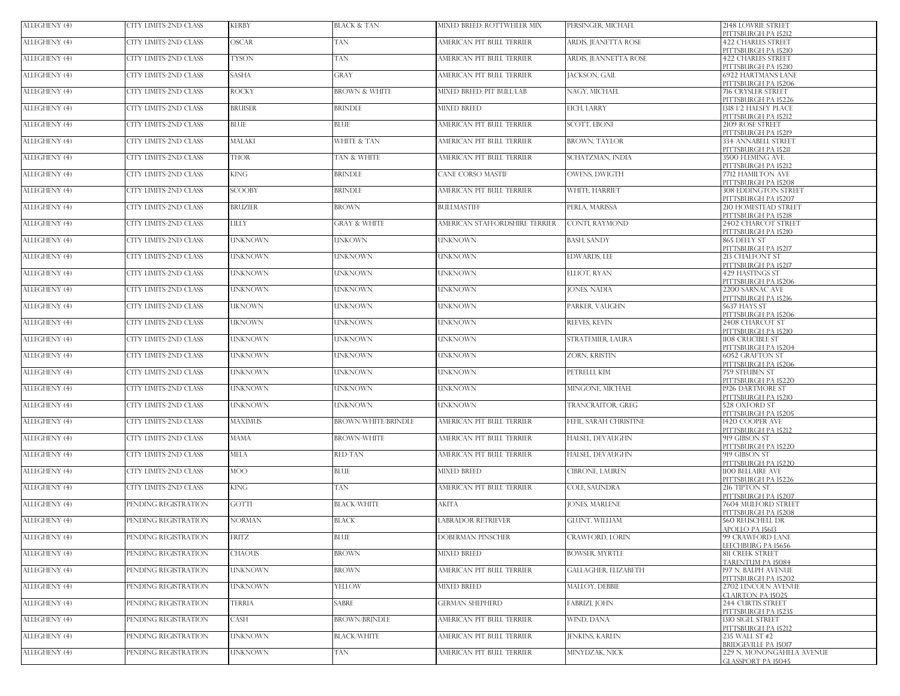| ALLEGHENY (4) | CITY LIMITS-2ND CLASS        | <b>KERBY</b>   | BLACK & TAN                | MIXED BREED: ROTTWEILER MIX    | PERSINGER, MICHAEL          | 2148 LOWRIE STREET<br>PITTSBURGH PA 15212         |
|---------------|------------------------------|----------------|----------------------------|--------------------------------|-----------------------------|---------------------------------------------------|
| ALLEGHENY (4) | CITY LIMITS-2ND CLASS        | <b>OSCAR</b>   | TAN                        | AMERICAN PIT BULL TERRIER      | ARDIS, JEANETTA ROSE        | <b>422 CHARLES STREET</b><br>PITTSBURGH PA 15210  |
| ALLEGHENY (4) | CITY LIMITS-2ND CLASS        | <b>TYSON</b>   | TAN                        | AMERICAN PIT BULL TERRIER      | ARDIS, JEANNETTA ROSE       | <b>422 CHARLES STREET</b>                         |
| ALLEGHENY (4) | CITY LIMITS-2ND CLASS        | <b>SASHA</b>   | GRAY                       | AMERICAN PIT BULL TERRIER      | JACKSON, GAIL               | PITTSBURGH PA 15210<br>6922 HARTMANS LANE         |
| ALLEGHENY (4) | CITY LIMITS-2ND CLASS        | <b>ROCKY</b>   | <b>BROWN &amp; WHITE</b>   | MIXED BREED: PIT BULL/LAB      | NAGY, MICHAEL               | PITTSBURGH PA 15206<br>716 CRYSLER STREET         |
| ALLEGHENY (4) | CITY LIMITS-2ND CLASS        | <b>BRUISER</b> | BRINDLE                    | <b>MIXED BREED</b>             | <b>EICH, LARRY</b>          | PITTSBURGH PA 15226<br>1318 1/2 HALSEY PLACE      |
| ALLEGHENY (4) | <b>CITY LIMITS-2ND CLASS</b> | <b>BLUE</b>    | BLUE                       | AMERICAN PIT BULL TERRIER      | <b>SCOTT, EBONI</b>         | PITTSBURGH PA 15212<br>2109 ROSE STREET           |
|               |                              |                |                            |                                |                             | PITTSBURGH PA 15219                               |
| ALLEGHENY (4) | CITY LIMITS-2ND CLASS        | <b>MALAKI</b>  | <b>WHITE &amp; TAN</b>     | AMERICAN PIT BULL TERRIER      | <b>BROWN, TAYLOR</b>        | 334 ANNABELL STREET<br>PITTSBURGH PA 15211        |
| ALLEGHENY (4) | CITY LIMITS-2ND CLASS        | <b>THOR</b>    | TAN & WHITE                | AMERICAN PIT BULL TERRIER      | SCHATZMAN, INDIA            | 3500 FLEMING AVE.<br>PITTSBURGH PA 15212          |
| ALLEGHENY (4) | CITY LIMITS-2ND CLASS        | <b>KING</b>    | <b>BRINDLE</b>             | CANE CORSO MASTIF              | OWENS, DWIGTH               | 7712 HAMILTON AVE<br>PITTSBURGH PA 15208          |
| ALLEGHENY (4) | <b>CITY LIMITS-2ND CLASS</b> | <b>SCOOBY</b>  | BRINDLE                    | AMERICAN PIT BULL TERRIER      | <b>WHITE, HARRIET</b>       | <b>308 EDDINGTON STREET</b>                       |
| ALLEGHENY (4) | CITY LIMITS-2ND CLASS        | <b>BRUZIER</b> | <b>BROWN</b>               | BULLMASTIFF                    | PERLA, MARISSA              | PITTSBURGH PA 15207<br>210 HOMESTEAD STREET       |
| ALLEGHENY (4) | <b>CITY LIMITS-2ND CLASS</b> | <b>LILLY</b>   | <b>GRAY &amp; WHITE</b>    | AMERICAN STAFFORDSHIRE TERRIER | CONTI, RAYMOND              | PITTSBURGH PA 15218<br>2402 CHARCOT STREET        |
| ALLEGHENY (4) | CITY LIMITS-2ND CLASS        | <b>UNKNOWN</b> | UNKOWN                     | <b>UNKNOWN</b>                 | <b>BASH, SANDY</b>          | PITTSBURGH PA 15210<br>865 DEELY ST               |
|               |                              |                |                            |                                |                             | PITTSBURGH PA 15217<br>213 CHALFONT ST            |
| ALLEGHENY (4) | CITY LIMITS-2ND CLASS        | <b>UNKNOWN</b> | UNKNOWN                    | UNKNOWN                        | <b>EDWARDS, LEE</b>         | PITTSBURGH PA 15217                               |
| ALLEGHENY (4) | CITY LIMITS-2ND CLASS        | <b>UNKNOWN</b> | <b>UNKNOWN</b>             | <b>UNKNOWN</b>                 | ELLIOT, RYAN                | 429 HASTINGS ST<br>PITTSBURGH PA 15206            |
| ALLEGHENY (4) | CITY LIMITS-2ND CLASS        | <b>UNKNOWN</b> | <b>UNKNOWN</b>             | UNKNOWN                        | <b>IONES, NADIA</b>         | 2200 SARNAC AVE<br>PITTSBURGH PA 15216            |
| ALLEGHENY (4) | <b>CITY LIMITS-2ND CLASS</b> | <b>UKNOWN</b>  | UNKNOWN                    | UNKNOWN                        | PARKER, VAUGHN              | 5637 HAYS ST<br>PITTSBURGH PA 15206               |
| ALLEGHENY (4) | CITY LIMITS-2ND CLASS        | <b>UKNOWN</b>  | UNKNOWN                    | UNKNOWN                        | REEVES, KEVIN               | 2408 CHARCOT ST                                   |
| ALLEGHENY (4) | CITY LIMITS-2ND CLASS        | <b>UNKNOWN</b> | UNKNOWN                    | <b>UNKNOWN</b>                 | STRATEMIER, LAURA           | PITTSBURGH PA 15210<br>1108 CRUCIBLE ST           |
| ALLEGHENY (4) | CITY LIMITS-2ND CLASS        | <b>UNKNOWN</b> | UNKNOWN                    | UNKNOWN                        | ZORN, KRISTIN               | PITTSBURGH PA 15204<br>6052 GRAFTON ST            |
| ALLEGHENY (4) | CITY LIMITS-2ND CLASS        | <b>UNKNOWN</b> | UNKNOWN                    | UNKNOWN                        | PETRELLI, KIM               | PITTSBURGH PA 15206<br>759 STEUBEN ST             |
| ALLEGHENY (4) | CITY LIMITS-2ND CLASS        | <b>UNKNOWN</b> | UNKNOWN                    | <b>UNKNOWN</b>                 | MINGONE, MICHAEL            | PITTSBURGH PA 15220<br>1926 DARTMORE ST           |
|               |                              |                |                            |                                |                             | PITTSBURGH PA 15210                               |
| ALLEGHENY (4) | CITY LIMITS-2ND CLASS        | <b>UNKNOWN</b> | <b>UNKNOWN</b>             | UNKNOWN                        | TRANCRAITOR, GREG           | 528 OXFORD ST<br>PITTSBURGH PA 15205              |
| ALLEGHENY (4) | CITY LIMITS-2ND CLASS        | <b>MAXIMUS</b> | <b>BROWN/WHITE/BRINDLE</b> | AMERICAN PIT BULL TERRIER      | FEHL, SARAH CHRISTINE       | 1420 COOPER AVE<br>PITTSBURGH PA 15212            |
| ALLEGHENY (4) | CITY LIMITS-2ND CLASS        | <b>MAMA</b>    | <b>BROWN-WHITE</b>         | AMERICAN PIT BULL TERRIER      | HALSEL, DEVAUGHN            | 919 GIBSON ST<br>PITTSBURGH PA 15220              |
| ALLEGHENY (4) | CITY LIMITS-2ND CLASS        | <b>MELA</b>    | RED-TAN                    | AMERICAN PIT BULL TERRIER      | HALSEL, DEVAUGHN            | 919 GIBSON ST                                     |
| ALLEGHENY (4) | CITY LIMITS-2ND CLASS        | <b>MOO</b>     | BLUE                       | <b>MIXED BREED</b>             | CIBRONE, LAUREN             | PITTSBURGH PA 15220<br>1100 BELLAIRE AVE          |
| ALLEGHENY (4) | CITY LIMITS-2ND CLASS        | <b>KING</b>    | TAN                        | AMERICAN PIT BULL TERRIER      | COLE, SAUNDRA               | PITTSBURGH PA 15226<br>216 TIPTON ST              |
| ALLEGHENY (4) | PENDING REGISTRATION         | <b>GOTTI</b>   | <b>BLACK/WHITE</b>         | AKITA                          | <b>JONES, MARLENE</b>       | PITTSBURGH PA 15207<br>7604 MULFORD STREET        |
| ALLEGHENY (4) | PENDING REGISTRATION         | <b>NORMAN</b>  | BLACK                      | <b>ABRADOR RETRIEVER</b>       | GLUNT, WILLIAM              | PITTSBURGH PA 15208<br><b>560 REUSCHELL DR</b>    |
|               |                              |                |                            |                                |                             | APOLLO PA 15613                                   |
| ALLEGHENY (4) | PENDING REGISTRATION         | FRITZ          | BLUE                       | <b>DOBERMAN PINSCHER</b>       | CRAWFORD, LORIN             | 99 CRAWFORD LANE<br>LEECHBURG PA 15656            |
| ALLEGHENY (4) | PENDING REGISTRATION         | <b>CHAOUS</b>  | <b>BROWN</b>               | <b>MIXED BREED</b>             | <b>BOWSER, MYRTLE</b>       | 811 CREEK STREET<br>TARENTUM PA 15084             |
| ALLEGHENY (4) | PENDING REGISTRATION         | <b>UNKNOWN</b> | <b>BROWN</b>               | AMERICAN PIT BULL TERRIER      | <b>GALLAGHER, ELIZABETH</b> | 197 N. BALPH AVENUE<br>PITTSBURGH PA 15202        |
| ALLEGHENY (4) | PENDING REGISTRATION         | <b>UNKNOWN</b> | YELLOW                     | <b>MIXED BREED</b>             | MALLOY, DEBBIE              | 2702 LINCOLN AVENUE                               |
| ALLEGHENY (4) | PENDING REGISTRATION         | <b>TERRIA</b>  | <b>SABRE</b>               | <b>GERMAN SHEPHERD</b>         | FABRIZI, JOHN               | CLAIRTON PA 15025<br><b>244 CURTIS STREET</b>     |
| ALLEGHENY (4) | PENDING REGISTRATION         | CASH           | <b>BROWN/BRINDLE</b>       | AMERICAN PIT BULL TERRIER      | WIND, DANA                  | PITTSBURGH PA 15235<br><b>1310 SIGEL STREET</b>   |
| ALLEGHENY (4) | PENDING REGISTRATION         | <b>UNKNOWN</b> | <b>BLACK/WHITE</b>         | AMERICAN PIT BULL TERRIER      | JENKINS, KARLIN             | PITTSBURGH PA 15212<br>235 WALL ST #2             |
| ALLEGHENY (4) | PENDING REGISTRATION         | <b>UNKNOWN</b> | TAN                        | AMERICAN PIT BULL TERRIER      | MINYDZAK, NICK              | BRIDGEVILLE PA 15017<br>229 N. MONONGAHELA AVENUE |
|               |                              |                |                            |                                |                             | GLASSPORT PA 15045                                |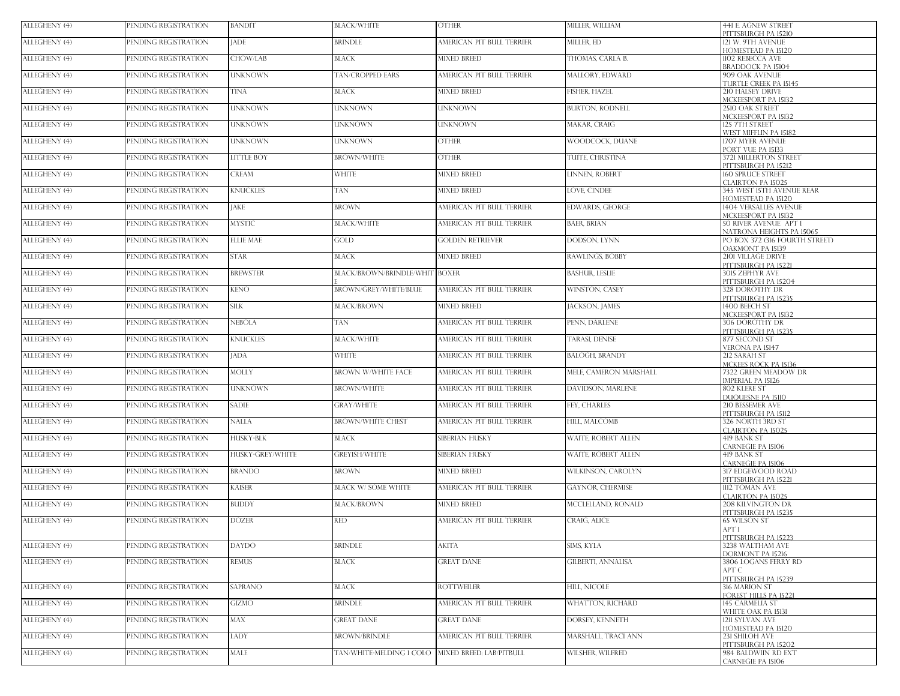| ALLEGHENY (4) | PENDING REGISTRATION | <b>BANDIT</b>     | <b>BLACK/WHITE</b>             | <b>OTHER</b>              | MILLER, WILLIAM            | <b>441 E. AGNEW STREET</b><br>PITTSBURGH PA 15210         |
|---------------|----------------------|-------------------|--------------------------------|---------------------------|----------------------------|-----------------------------------------------------------|
| ALLEGHENY (4) | PENDING REGISTRATION | <b>JADE</b>       | <b>BRINDLE</b>                 | AMERICAN PIT BULL TERRIER | MILLER, ED                 | 121 W. 9TH AVENUE<br>HOMESTEAD PA 15120                   |
| ALLEGHENY (4) | PENDING REGISTRATION | CHOW/LAB          | <b>BLACK</b>                   | <b>MIXED BREED</b>        | THOMAS, CARLA B.           | 1102 REBECCA AVE<br><b>BRADDOCK PA 15104</b>              |
| ALLEGHENY (4) | PENDING REGISTRATION | <b>UNKNOWN</b>    | TAN/CROPPED EARS               | AMERICAN PIT BULL TERRIER | MALLORY, EDWARD            | 909 OAK AVENUE                                            |
| ALLEGHENY (4) | PENDING REGISTRATION | <b>TINA</b>       | BLACK                          | <b>MIXED BREED</b>        | FISHER, HAZEL              | <b>TURTLE CREEK PA 15145</b><br>210 HALSEY DRIVE          |
| ALLEGHENY (4) | PENDING REGISTRATION | <b>UNKNOWN</b>    | <b>UNKNOWN</b>                 | UNKNOWN                   | <b>BURTON, RODNELL</b>     | MCKEESPORT PA 15132<br>2510 OAK STREET                    |
| ALLEGHENY (4) | PENDING REGISTRATION | <b>UNKNOWN</b>    | UNKNOWN                        | UNKNOWN                   | <b>MAKAR, CRAIG</b>        | MCKEESPORT PA 15132<br>125 7TH STREET                     |
| ALLEGHENY (4) | PENDING REGISTRATION | <b>UNKNOWN</b>    | <b>UNKNOWN</b>                 | <b>OTHER</b>              | WOODCOCK, DUANE            | WEST MIFFLIN PA 15182.<br>1707 MYER AVENUE                |
| ALLEGHENY (4) | PENDING REGISTRATION | <b>LITTLE BOY</b> | <b>BROWN/WHITE</b>             | <b>OTHER</b>              | TUITE, CHRISTINA           | PORT VUE PA 15133<br><b>3721 MILLERTON STREET</b>         |
| ALLEGHENY (4) | PENDING REGISTRATION | <b>CREAM</b>      | <b>WHITE</b>                   | <b>MIXED BREED</b>        | <b>LINNEN, ROBERT</b>      | PITTSBURGH PA 15212<br><b>160 SPRUCE STREET</b>           |
| ALLEGHENY (4) | PENDING REGISTRATION | <b>KNUCKLES</b>   | TAN                            | <b>MIXED BREED</b>        | <b>LOVE CINDEE</b>         | CLAIRTON PA 15025<br>345 WEST 15TH AVENUE REAR            |
| ALLEGHENY (4) | PENDING REGISTRATION | <b>JAKE</b>       | <b>BROWN</b>                   | AMERICAN PIT BULL TERRIER | <b>EDWARDS, GEORGE</b>     | HOMESTEAD PA 15120<br><b>1404 VERSALLES AVENUE</b>        |
| ALLEGHENY (4) | PENDING REGISTRATION | <b>MYSTIC</b>     | <b>BLACK/WHITE</b>             | AMERICAN PIT BULL TERRIER | <b>BAER, BRIAN</b>         | MCKEESPORT PA 15132<br><b>50 RIVER AVENUE APT 1</b>       |
|               |                      |                   |                                |                           |                            | NATRONA HEIGHTS PA 15065                                  |
| ALLEGHENY (4) | PENDING REGISTRATION | <b>ELLIE MAE</b>  | GOLD -                         | <b>GOLDEN RETRIEVER</b>   | DODSON, LYNN               | PO BOX 372 (316 FOURTH STREET)<br><b>DAKMONT PA 15139</b> |
| ALLEGHENY (4) | PENDING REGISTRATION | <b>STAR</b>       | <b>BLACK</b>                   | <b>MIXED BREED</b>        | RAWLINGS, BOBBY            | <b>2101 VILLAGE DRIVE</b><br>PITTSBURGH PA 15221          |
| ALLEGHENY (4) | PENDING REGISTRATION | <b>BREWSTER</b>   | BLACK/BROWN/BRINDLE/WHIT BOXER |                           | <b>BASHUR, LESLIE</b>      | 3015 ZEPHYR AVE<br>PITTSBURGH PA 15204                    |
| ALLEGHENY (4) | PENDING REGISTRATION | <b>KENO</b>       | <b>BROWN/GREY/WHITE/BLUE</b>   | AMERICAN PIT BULL TERRIER | <b>WINSTON, CASEY</b>      | 328 DOROTHY DR<br>PITTSBURGH PA 15235                     |
| ALLEGHENY (4) | PENDING REGISTRATION | <b>SILK</b>       | <b>BLACK/BROWN</b>             | <b>MIXED BREED</b>        | JACKSON, JAMES             | 1400 BEECH ST<br>MCKEESPORT PA 15132                      |
| ALLEGHENY (4) | PENDING REGISTRATION | <b>NEBOLA</b>     | TAN                            | AMERICAN PIT BULL TERRIER | PENN, DARLENE              | 306 DOROTHY DR<br>PITTSBURGH PA 15235                     |
| ALLEGHENY (4) | PENDING REGISTRATION | <b>KNUCKLES</b>   | <b>BLACK/WHITE</b>             | AMERICAN PIT BULL TERRIER | <b>TARASI, DENISE</b>      | 877 SECOND ST<br>VERONA PA 15147                          |
| ALLEGHENY (4) | PENDING REGISTRATION | <b>JADA</b>       | <b>WHITE</b>                   | AMERICAN PIT BULL TERRIER | <b>BALOGH, BRANDY</b>      | 212 SARAH ST                                              |
| ALLEGHENY (4) | PENDING REGISTRATION | <b>MOLLY</b>      | <b>BROWN W/WHITE FACE</b>      | AMERICAN PIT BULL TERRIER | MELE, CAMERON MARSHALL     | MCKEES ROCK PA 15136<br>7322 GREEN MEADOW DR              |
| ALLEGHENY (4) | PENDING REGISTRATION | <b>UNKNOWN</b>    | <b>BROWN/WHITE</b>             | AMERICAN PIT BULL TERRIER | DAVIDSON, MARLENE          | <b>IMPERIAL PA 15126</b><br>802 KLERE ST                  |
| ALLEGHENY (4) | PENDING REGISTRATION | <b>SADIE</b>      | <b>GRAY/WHITE</b>              | AMERICAN PIT BULL TERRIER | FEY, CHARLES               | <b>DUOUESNE PA 15110</b><br>210 BESSEMER AVE              |
| ALLEGHENY (4) | PENDING REGISTRATION | <b>NALLA</b>      | <b>BROWN/WHITE CHEST</b>       | AMERICAN PIT BULL TERRIER | HILL, MALCOMB              | PITTSBURGH PA 15112<br>326 NORTH 3RD ST                   |
| ALLEGHENY (4) | PENDING REGISTRATION | <b>HUSKY-BLK</b>  | <b>BLACK</b>                   | SIBERIAN HUSKY            | WAITE, ROBERT ALLEN        | CLAIRTON PA 15025<br>419 BANK ST                          |
| ALLEGHENY (4) | PENDING REGISTRATION | HUSKY-GREY/WHITE  | <b>GREYISH/WHITE</b>           | SIBERIAN HUSKY            | <b>WAITE, ROBERT ALLEN</b> | CARNEGIE PA 15106<br>419 BANK ST                          |
| ALLEGHENY (4) | PENDING REGISTRATION | <b>BRANDO</b>     | <b>BROWN</b>                   | <b>MIXED BREED</b>        | WILKINSON, CAROLYN         | CARNEGIE PA 15106<br>317 EDGEWOOD ROAD                    |
| ALLEGHENY (4) | PENDING REGISTRATION | <b>KAISER</b>     | <b>BLACK W/ SOME WHITE</b>     | AMERICAN PIT BULL TERRIER | <b>GAYNOR, CHERMISE</b>    | PITTSBURGH PA 15221<br>1112 TOMAN AVE                     |
| ALLEGHENY (4) | PENDING REGISTRATION | <b>BUDDY</b>      |                                |                           | MCCLELLAND, RONALD         | CLAIRTON PA 15025                                         |
|               |                      |                   | <b>BLACK/BROWN</b>             | <b>MIXED BREED</b>        |                            | 208 KILVINGTON DR<br>PITTSBURGH PA 15235                  |
| ALLEGHENY (4) | PENDING REGISTRATION | <b>DOZER</b>      | red                            | AMERICAN PIT BULL TERRIER | CRAIG, ALICE               | 65 WILSON ST<br>APT 1                                     |
| ALLEGHENY (4) | PENDING REGISTRATION | <b>DAYDO</b>      | BRINDLE                        | AKITA                     | SIMS, KYLA                 | PITTSBURGH PA 15223<br>3238 WALTHAM AVE                   |
| ALLEGHENY (4) | PENDING REGISTRATION | REMUS             | BLACK                          | <b>GREAT DANE</b>         | <b>GILBERTI, ANNALISA</b>  | DORMONT PA 15216<br>3806 LOGANS FERRY RD                  |
|               |                      |                   |                                |                           |                            | APT C<br>PITTSBURGH PA 15239                              |
| ALLEGHENY (4) | PENDING REGISTRATION | <b>SAPRANO</b>    | BLACK                          | <b>ROTTWEILER</b>         | HILL, NICOLE               | 316 MARION ST<br>FOREST HILLS PA 15221                    |
| ALLEGHENY (4) | PENDING REGISTRATION | GIZMO             | BRINDLE                        | AMERICAN PIT BULL TERRIER | WHATTON, RICHARD           | 145 CARMELIA ST<br>WHITE OAK PA 15131                     |
| ALLEGHENY (4) | PENDING REGISTRATION | <b>MAX</b>        | <b>GREAT DANE</b>              | <b>GREAT DANE</b>         | DORSEY, KENNETH            | 1211 SYLVAN AVE<br>HOMESTEAD PA 15120                     |
| ALLEGHENY (4) | PENDING REGISTRATION | LADY              | <b>BROWN/BRINDLE</b>           | AMERICAN PIT BULL TERRIER | <b>MARSHALL, TRACI ANN</b> | 231 SHILOH AVE                                            |
| ALLEGHENY (4) | PENDING REGISTRATION | <b>MALE</b>       | TAN/WHITE-MELDING 1 COLO       | MIXED BREED: LAB/PITBULL  | WILSHER, WILFRED           | PITTSBURGH PA 15202<br>984 BALDWIIN RD EXT                |
|               |                      |                   |                                |                           |                            | CARNEGIE PA 15106                                         |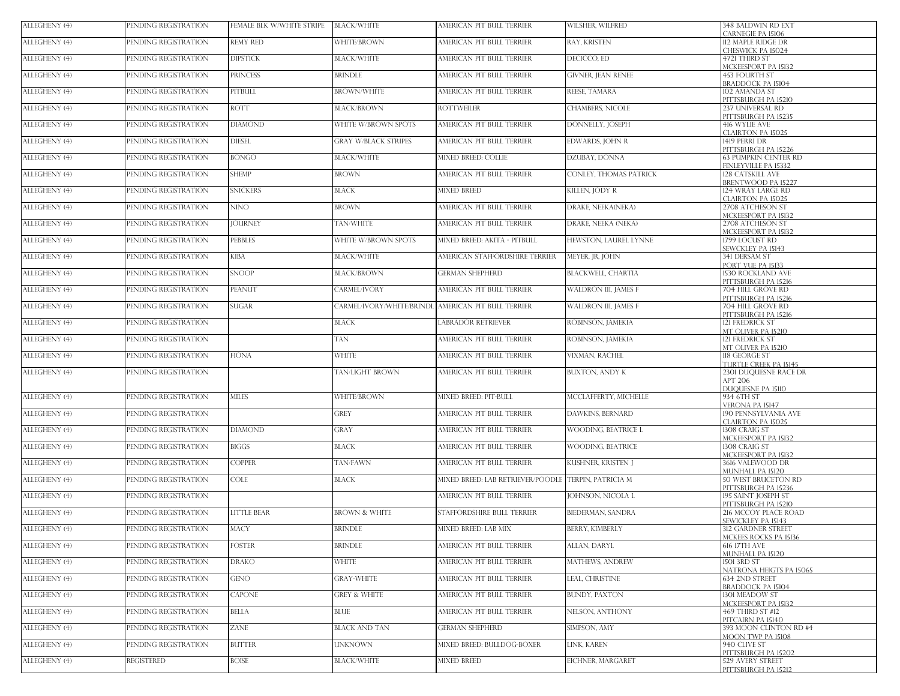| ALLEGHENY (4) | PENDING REGISTRATION | FEMALE BLK W/WHITE STRIPE | <b>BLACK/WHITE</b>          | AMERICAN PIT BULL TERRIER                            | WILSHER, WILFRED         | 348 BALDWIN RD EXT<br><b>CARNEGIE PA 15106</b>    |
|---------------|----------------------|---------------------------|-----------------------------|------------------------------------------------------|--------------------------|---------------------------------------------------|
| ALLEGHENY (4) | PENDING REGISTRATION | <b>REMY RED</b>           | WHITE/BROWN                 | AMERICAN PIT BULL TERRIER                            | RAY, KRISTEN             | 112 MAPLE RIDGE DR<br>CHESWICK PA 15024           |
| ALLEGHENY (4) | PENDING REGISTRATION | <b>DIPSTICK</b>           | <b>BLACK/WHITE</b>          | AMERICAN PIT BULL TERRIER                            | DECICCO, ED              | 4721 THIRD ST                                     |
| ALLEGHENY (4) | PENDING REGISTRATION | <b>PRINCESS</b>           | <b>BRINDLE</b>              | AMERICAN PIT BULL TERRIER                            | GIVNER, JEAN RENEE       | MCKEESPORT PA 15132<br>453 FOURTH ST              |
| ALLEGHENY (4) | PENDING REGISTRATION | <b>PITBULL</b>            | <b>BROWN/WHITE</b>          | AMERICAN PIT BULL TERRIER                            | REESE, TAMARA            | BRADDOCK PA 15104<br>102 AMANDA ST                |
| ALLEGHENY (4) | PENDING REGISTRATION | <b>ROTT</b>               | <b>BLACK/BROWN</b>          | <b>ROTTWEILER</b>                                    | CHAMBERS, NICOLE         | PITTSBURGH PA 15210<br>237 UNIVERSAL RD           |
| ALLEGHENY (4) | PENDING REGISTRATION | <b>DIAMOND</b>            | WHITE W/BROWN SPOTS         | AMERICAN PIT BULL TERRIER                            | DONNELLY, JOSEPH         | PITTSBURGH PA 15235<br>416 WYLIE AVE              |
| ALLEGHENY (4) | PENDING REGISTRATION | <b>DIESEL</b>             | <b>GRAY W/BLACK STRIPES</b> | AMERICAN PIT BULL TERRIER                            | EDWARDS, JOHN R          | CLAIRTON PA 15025<br>1419 PERRI DR                |
| ALLEGHENY (4) | PENDING REGISTRATION | <b>BONGO</b>              | <b>BLACK/WHITE</b>          | MIXED BREED: COLLIE                                  | DZUBAY, DONNA            | PITTSBURGH PA 15226<br>63 PUMPKIN CENTER RD       |
| ALLEGHENY (4) | PENDING REGISTRATION | <b>SHEMP</b>              | <b>BROWN</b>                | AMERICAN PIT BULL TERRIER                            | CONLEY, THOMAS PATRICK   | <b>INLEYVILLE PA 15332</b><br>128 CATSKILL AVE    |
| ALLEGHENY (4) | PENDING REGISTRATION | <b>SNICKERS</b>           | BLACK                       | <b>MIXED BREED</b>                                   | KILLEN, JODY R           | BRENTWOOD PA 15227<br>124 WRAY LARGE RD           |
|               |                      | <b>NINO</b>               | <b>BROWN</b>                | AMERICAN PIT BULL TERRIER                            |                          | CLAIRTON PA 15025                                 |
| ALLEGHENY (4) | PENDING REGISTRATION |                           |                             |                                                      | DRAKE, NEEKA(NEKA)       | 2708 ATCHESON ST<br>MCKEESPORT PA 15132           |
| ALLEGHENY (4) | PENDING REGISTRATION | <b>JOURNEY</b>            | TAN/WHITE                   | AMERICAN PIT BULL TERRIER                            | DRAKE, NEEKA (NEKA)      | 2708 ATCHESON ST<br>MCKEESPORT PA 15132           |
| ALLEGHENY (4) | PENDING REGISTRATION | <b>PEBBLES</b>            | WHITE W/BROWN SPOTS         | MIXED BREED: AKITA - PITBULL                         | HEWSTON, LAUREL LYNNE    | 1799 LOCUST RD<br>SEWCKLEY PA 15143               |
| ALLEGHENY (4) | PENDING REGISTRATION | <b>KIBA</b>               | <b>BLACK/WHITE</b>          | AMERICAN STAFFORDSHIRE TERRIER                       | MEYER, JR, JOHN          | <b>341 DERSAM ST</b><br>PORT VUE PA 15133         |
| ALLEGHENY (4) | PENDING REGISTRATION | <b>SNOOP</b>              | <b>BLACK/BROWN</b>          | <b>GERMAN SHEPHERD</b>                               | BLACKWELL, CHARTIA       | 1530 ROCKLAND AVE<br>PITTSBURGH PA 15216          |
| ALLEGHENY (4) | PENDING REGISTRATION | PEANUT                    | <b>CARMEL/IVORY</b>         | AMERICAN PIT BULL TERRIER                            | WALDRON III, JAMES F     | 704 HILL GROVE RD<br>PITTSBURGH PA 15216          |
| ALLEGHENY (4) | PENDING REGISTRATION | <b>SUGAR</b>              |                             | CARMEL/IVORY/WHITE/BRINDL AMERICAN PIT BULL TERRIER  | WALDRON III, JAMES F     | 704 HILL GROVE RD<br>PITTSBURGH PA 15216          |
| ALLEGHENY (4) | PENDING REGISTRATION |                           | <b>BLACK</b>                | <b>LABRADOR RETRIEVER</b>                            | ROBINSON, JAMEKIA        | 121 FREDRICK ST<br>MT OLIVER PA 15210             |
| ALLEGHENY (4) | PENDING REGISTRATION |                           | TAN                         | AMERICAN PIT BULL TERRIER                            | ROBINSON, JAMEKIA        | 121 FREDRICK ST                                   |
| ALLEGHENY (4) | PENDING REGISTRATION | <b>FIONA</b>              | <b>WHITE</b>                | AMERICAN PIT BULL TERRIER                            | VIXMAN, RACHEL           | MT OLIVER PA 15210<br>118 GEORGE ST               |
| ALLEGHENY (4) | PENDING REGISTRATION |                           | <b>TAN/LIGHT BROWN</b>      | AMERICAN PIT BULL TERRIER                            | BUXTON, ANDY K           | TURTLE CREEK PA 15145<br>2301 DUQUESNE RACE DR    |
|               |                      |                           |                             |                                                      |                          | APT 206<br>DUOUESNE PA 15110                      |
| ALLEGHENY (4) | PENDING REGISTRATION | <b>MILES</b>              | WHITE/BROWN                 | MIXED BREED: PIT-BULL                                | MCCLAFFERTY, MICHELLE    | 934 6TH ST<br>VERONA PA 15147                     |
| ALLEGHENY (4) | PENDING REGISTRATION |                           | GREY                        | AMERICAN PIT BULL TERRIER                            | <b>DAWKINS, BERNARD</b>  | 190 PENNSYLVANIA AVE<br>CLAIRTON PA 15025         |
| ALLEGHENY (4) | PENDING REGISTRATION | <b>DIAMOND</b>            | GRAY                        | AMERICAN PIT BULL TERRIER                            | WOODING, BEATRICE L      | 1308 CRAIG ST<br>MCKEESPORT PA 15132              |
| ALLEGHENY (4) | PENDING REGISTRATION | <b>BIGGS</b>              | BLACK                       | AMERICAN PIT BULL TERRIER                            | <b>WOODING, BEATRICE</b> | 1308 CRAIG ST<br>MCKEESPORT PA 15132              |
| ALLEGHENY (4) | PENDING REGISTRATION | <b>COPPER</b>             | TAN/FAWN                    | AMERICAN PIT BULL TERRIER                            | KUSHNER, KRISTEN J       | 3616 VALEWOOD DR<br><b>MUNHALL PA 15120</b>       |
| ALLEGHENY (4) | PENDING REGISTRATION | <b>COLE</b>               | BLACK                       | MIXED BREED: LAB RETRIEVER/POODLE TERPIN, PATRICIA M |                          | 50 WEST BRUCETON RD<br>PITTSBURGH PA 15236        |
| ALLEGHENY (4) | PENDING REGISTRATION |                           |                             | AMERICAN PIT BULL TERRIER                            | JOHNSON, NICOLA L        | 195 SAINT JOSEPH ST                               |
| ALLEGHENY (4) | PENDING REGISTRATION | <b>LITTLE BEAR</b>        | <b>BROWN &amp; WHITE</b>    | STAFFORDSHIRE BULL TERRIER                           | BIEDERMAN, SANDRA        | PITTSBURGH PA 15210<br>216 MCCOY PLACE ROAD       |
| ALLEGHENY (4) | PENDING REGISTRATION | <b>MACY</b>               | <b>BRINDLE</b>              | MIXED BREED: LAB MIX                                 | <b>BERRY, KIMBERLY</b>   | SEWICKLEY PA 15143<br>312 GARDNER STREET          |
| ALLEGHENY (4) | PENDING REGISTRATION | <b>FOSTER</b>             | BRINDLE                     | AMERICAN PIT BULL TERRIER                            | ALLAN, DARYL             | MCKEES ROCKS PA 15136<br><b>616 17TH AVE</b>      |
| ALLEGHENY (4) | PENDING REGISTRATION | DRAKO                     | WHITE                       | AMERICAN PIT BULL TERRIER                            | <b>MATHEWS, ANDREW</b>   | MUNHALL PA 15120<br>1501 3RD ST                   |
| ALLEGHENY (4) | PENDING REGISTRATION | <b>GENO</b>               | <b>GRAY-WHITE</b>           | AMERICAN PIT BULL TERRIER                            | <b>LEAL, CHRISTINE</b>   | NATRONA HEIGTS PA 15065<br>634 2ND STREET         |
| ALLEGHENY (4) | PENDING REGISTRATION | <b>CAPONE</b>             | <b>GREY &amp; WHITE</b>     | AMERICAN PIT BULL TERRIER                            | BUNDY, PAXTON            | BRADDOCK PA 15104<br><b>1301 MEADOW ST</b>        |
| ALLEGHENY (4) | PENDING REGISTRATION | <b>BELLA</b>              | <b>BLUE</b>                 | AMERICAN PIT BULL TERRIER                            | NELSON, ANTHONY          | MCKEESPORT PA 15132<br>469 THIRD ST #12           |
| ALLEGHENY (4) | PENDING REGISTRATION | ZANE                      | <b>BLACK AND TAN</b>        | <b>GERMAN SHEPHERD</b>                               | SIMPSON, AMY             | <b>ITCAIRN PA 15140</b><br>393 MOON CLINTON RD #4 |
| ALLEGHENY (4) | PENDING REGISTRATION | <b>BUTTER</b>             | <b>UNKNOWN</b>              | MIXED BREED: BULLDOG-BOXER                           | LINK, KAREN              | MOON TWP PA 15108<br>940 CLIVE ST                 |
|               |                      |                           |                             |                                                      |                          | PITTSBURGH PA 15202                               |
| ALLEGHENY (4) | <b>REGISTERED</b>    | <b>BOISE</b>              | <b>BLACK/WHITE</b>          | <b>MIXED BREED</b>                                   | EICHNER, MARGARET        | 529 AVERY STREET<br>PITTSBURGH PA 15212           |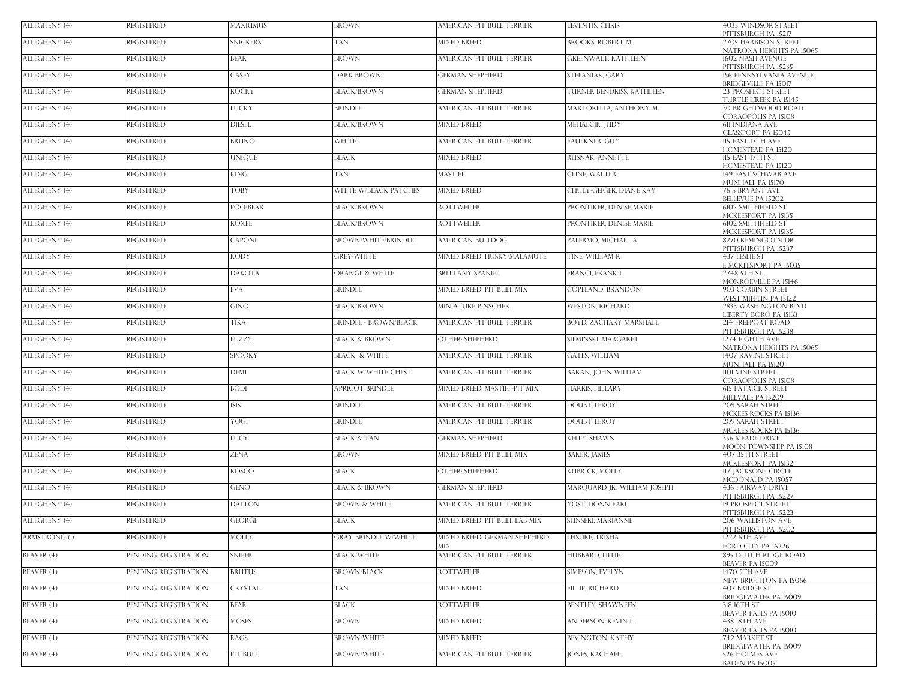| ALLEGHENY (4)        | <b>REGISTERED</b>    | <b>MAXIUMUS</b> | <b>BROWN</b>                 | AMERICAN PIT BULL TERRIER           | LEVENTIS, CHRIS             | 4033 WINDSOR STREET<br>PITTSBURGH PA 15217                                |
|----------------------|----------------------|-----------------|------------------------------|-------------------------------------|-----------------------------|---------------------------------------------------------------------------|
| ALLEGHENY (4)        | <b>REGISTERED</b>    | <b>SNICKERS</b> | TAN                          | <b>MIXED BREED</b>                  | <b>BROOKS, ROBERT M</b>     | 2705 HARBISON STREET<br>NATRONA HEIGHTS PA 15065                          |
| ALLEGHENY (4)        | <b>REGISTERED</b>    | <b>BEAR</b>     | <b>BROWN</b>                 | AMERICAN PIT BULL TERRIER           | <b>GREENWALT, KATHLEEN</b>  | 1602 NASH AVENUE<br>PITTSBURGH PA 15235                                   |
| ALLEGHENY (4)        | <b>REGISTERED</b>    | <b>ASEY</b>     | <b>DARK BROWN</b>            | <b>GERMAN SHEPHERD</b>              | STEFANIAK, GARY             | <b>156 PENNSYLVANIA AVENUE</b>                                            |
| ALLEGHENY (4)        | <b>REGISTERED</b>    | ROCKY           | <b>BLACK/BROWN</b>           | <b>GERMAN SHEPHERD</b>              | TURNER BENDRISS, KATHLEEN   | <b>BRIDGEVILLE PA 15017</b><br>23 PROSPECT STREET                         |
| ALLEGHENY (4)        | <b>REGISTERED</b>    | LUCKY           | <b>BRINDLE</b>               | AMERICAN PIT BULL TERRIER           | MARTORELLA, ANTHONY M.      | TURTLE CREEK PA 15145<br><b>30 BRIGHTWOOD ROAD</b><br>CORAOPOLIS PA 15108 |
| ALLEGHENY (4)        | <b>REGISTERED</b>    | <b>DIESEL</b>   | <b>BLACK/BROWN</b>           | <b>MIXED BREED</b>                  | MEHALCIK, JUDY              | <b>611 INDIANA AVE</b><br>GLASSPORT PA 15045                              |
| ALLEGHENY (4)        | <b>REGISTERED</b>    | BRUNO           | <b>WHITE</b>                 | AMERICAN PIT BULL TERRIER           | FAULKNER, GUY               | 115 EAST 17TH AVE<br>HOMESTEAD PA 15120                                   |
| ALLEGHENY (4)        | <b>REGISTERED</b>    | <b>INIQUE</b>   | <b>BLACK</b>                 | <b>MIXED BREED</b>                  | RUSNAK, ANNETTE             | 115 EAST 17TH ST<br>HOMESTEAD PA 15120                                    |
| ALLEGHENY (4)        | <b>REGISTERED</b>    | KING .          | TAN                          | <b>MASTIFF</b>                      | <b>CLINE, WALTER</b>        | 149 EAST SCHWAB AVE<br>MUNHALL PA 15170                                   |
| ALLEGHENY (4)        | <b>REGISTERED</b>    | <b>TOBY</b>     | WHITE W/BLACK PATCHES        | <b>MIXED BREED</b>                  | CHULY-GEIGER, DIANE KAY     | 76 S BRYANT AVE<br><b>BELLEVUE PA 15202</b>                               |
| ALLEGHENY (4)        | <b>REGISTERED</b>    | POO-BEAR        | <b>BLACK/BROWN</b>           | <b>ROTTWEILER</b>                   | PRONTIKER, DENISE MARIE     | <b>6102 SMITHFIELD ST</b><br>MCKEESPORT PA 15135                          |
| ALLEGHENY (4)        | <b>REGISTERED</b>    | <b>ROXEE</b>    | <b>BLACK/BROWN</b>           | <b>ROTTWEILER</b>                   | PRONTIKER, DENISE MARIE     | <b>6102 SMITHFIELD ST</b><br>MCKEESPORT PA 15135                          |
| ALLEGHENY (4)        | <b>REGISTERED</b>    | CAPONE          | BROWN/WHITE/BRINDLE          | AMERICAN BULLDOG                    | PALERMO, MICHAEL A          | 8270 REMINGOTN DR<br>PITTSBURGH PA 15237                                  |
| ALLEGHENY (4)        | <b>REGISTERED</b>    | <b>KODY</b>     | <b>GREY/WHITE</b>            | MIXED BREED: HUSKY/MALAMUTE         | TINE, WILLIAM R             | 437 LESLIE ST<br><b>E MCKEESPORT PA 15035</b>                             |
| ALLEGHENY (4)        | <b>REGISTERED</b>    | DAKOTA          | <b>ORANGE &amp; WHITE</b>    | <b>BRITTANY SPANIEL</b>             | FRANCI, FRANK L.            | 2748 5TH ST.<br><b>MONROEVILLE PA 15146</b>                               |
| ALLEGHENY (4)        | <b>REGISTERED</b>    | EVA.            | <b>BRINDLE</b>               | MIXED BREED PIT BULL MIX            | COPELAND. BRANDON           | 903 CORBIN STREET<br>WEST MIFFLIN PA 15122                                |
| ALLEGHENY (4)        | <b>REGISTERED</b>    | GINO            | <b>BLACK/BROWN</b>           | MINIATURE PINSCHER                  | <b>WESTON, RICHARD</b>      | 2833 WASHINGTON BLVD<br>LIBERTY BORO PA 15133                             |
| ALLEGHENY (4)        | <b>REGISTERED</b>    | ГІКА            | <b>BRINDLE - BROWN/BLACK</b> | AMERICAN PIT BULL TERRIER           | BOYD, ZACHARY MARSHALL      | 214 FREEPORT ROAD<br>PITTSBURGH PA 15238                                  |
| ALLEGHENY (4)        | <b>REGISTERED</b>    | FUZZY           | <b>BLACK &amp; BROWN</b>     | <b>OTHER: SHEPHERD</b>              | SIEMINSKI, MARGARET         | 1274 EIGHTH AVE<br>NATRONA HEIGHTS PA 15065                               |
| ALLEGHENY (4)        | <b>REGISTERED</b>    | <b>SPOOKY</b>   | <b>BLACK &amp; WHITE</b>     | AMERICAN PIT BULL TERRIER           | <b>GATES, WILLIAM</b>       | 1407 RAVINE STREET<br>MUNHALL PA 15120                                    |
| ALLEGHENY (4)        | <b>REGISTERED</b>    | DEMI            | <b>BLACK W/WHITE CHEST</b>   | AMERICAN PIT BULL TERRIER           | BARAN, JOHN WILLIAM         | 1101 VINE STREET<br>CORAOPOLIS PA 15108                                   |
| ALLEGHENY (4)        | <b>REGISTERED</b>    | <b>BODI</b>     | <b>APRICOT BRINDLE</b>       | MIXED BREED: MASTIFF-PIT MIX        | HARRIS, HILLARY             | <b>615 PATRICK STREET</b><br>MILLVALE PA 15209                            |
| ALLEGHENY (4)        | <b>REGISTERED</b>    | <b>SIS</b>      | <b>BRINDLE</b>               | AMERICAN PIT BULL TERRIER           | <b>DOUBT, LEROY</b>         | <b>209 SARAH STREET</b><br>MCKEES ROCKS PA 15136                          |
| ALLEGHENY (4)        | <b>REGISTERED</b>    | YOGI            | <b>BRINDLE</b>               | AMERICAN PIT BULL TERRIER           | <b>DOUBT, LEROY</b>         | <b>209 SARAH STREET</b><br>MCKEES ROCKS PA 15136                          |
| ALLEGHENY (4)        | <b>REGISTERED</b>    | LUCY            | <b>BLACK &amp; TAN</b>       | <b>GERMAN SHEPHERD</b>              | KELLY, SHAWN                | 356 MEADE DRIVE<br>MOON TOWNSHIP PA 15108                                 |
| ALLEGHENY (4)        | <b>REGISTERED</b>    | <b>ZENA</b>     | <b>BROWN</b>                 | MIXED BREED: PIT BULL MIX           | <b>BAKER, JAMES</b>         | 407 35TH STREET<br>MCKEESPORT PA 15132                                    |
| ALLEGHENY (4)        | REGISTERED           | ROSCO           | <b>BLACK</b>                 | OTHER: SHEPHERD                     | KUBRICK, MOLLY              | 117 JACKSONE CIRCLE<br>MCDONALD PA 15057                                  |
| ALLEGHENY (4)        | <b>REGISTERED</b>    | GENO            | <b>BLACK &amp; BROWN</b>     | <b>GERMAN SHEPHERD</b>              | MAROUARD IR. WILLIAM JOSEPH | <b>436 FAIRWAY DRIVE</b><br>PITTSBURGH PA 15227                           |
| ALLEGHENY (4)        | <b>REGISTERED</b>    | <b>DALTON</b>   | <b>BROWN &amp; WHITE</b>     | AMERICAN PIT BULL TERRIER           | YOST. DONN EARL             | <b>19 PROSPECT STREET</b><br>PITTSBURGH PA 15223                          |
| ALLEGHENY (4)        | <b>REGISTERED</b>    | <b>EORGE</b>    | <b>BLACK</b>                 | MIXED BREED: PIT BULL LAB MIX       | SUNSERI, MARIANNE           | 206 WALLISTON AVE<br>PITTSBURGH PA 15202                                  |
| <b>ARMSTRONG</b> (1) | REGISTERED           | MOLLY           | <b>GRAY BRINDLE W/WHITE</b>  | MIXED BREED: GERMAN SHEPHERD<br>МIХ | LEISURE, TRISHA             | 1222 6TH AVE<br>FORD CITY PA 16226                                        |
| BEAVER (4)           | PENDING REGISTRATION | <b>SNIPER</b>   | <b>BLACK/WHITE</b>           | AMERICAN PIT BULL TERRIER           | HUBBARD, LILLIE             | 895 DUTCH RIDGE ROAD<br><b>BEAVER PA 15009</b>                            |
| BEAVER (4)           | PENDING REGISTRATION | BRUTUS          | <b>BROWN/BLACK</b>           | <b>ROTTWEILER</b>                   | SIMPSON, EVELYN             | 1470 5TH AVE<br>NEW BRIGHTON PA 15066                                     |
| BEAVER (4)           | PENDING REGISTRATION | CRYSTAL         | TAN                          | <b>MIXED BREED</b>                  | FILLIP, RICHARD             | 407 BRIDGE ST<br><b>BRIDGEWATER PA 15009</b>                              |
| BEAVER (4)           | PENDING REGISTRATION | <b>BEAR</b>     | <b>BLACK</b>                 | <b>ROTTWEILER</b>                   | BENTLEY, SHAWNEEN           | 318 16TH ST<br><b>BEAVER FALLS PA 15010</b>                               |
| BEAVER (4)           | PENDING REGISTRATION | MOSES           | <b>BROWN</b>                 | <b>MIXED BREED</b>                  | ANDERSON, KEVIN L.          | <b>438 ISTH AVE</b><br><b>BEAVER FALLS PA 15010</b>                       |
| BEAVER (4)           | PENDING REGISTRATION | RAGS            | <b>BROWN/WHITE</b>           | <b>MIXED BREED</b>                  | <b>BEVINGTON, KATHY</b>     | 742 MARKET ST<br><b>BRIDGEWATER PA 15009</b>                              |
| BEAVER (4)           | PENDING REGISTRATION | PIT BULL        | <b>BROWN/WHITE</b>           | AMERICAN PIT BULL TERRIER           | <b>IONES, RACHAEL</b>       | 526 HOLMES AVE<br><b>BADEN PA 15005</b>                                   |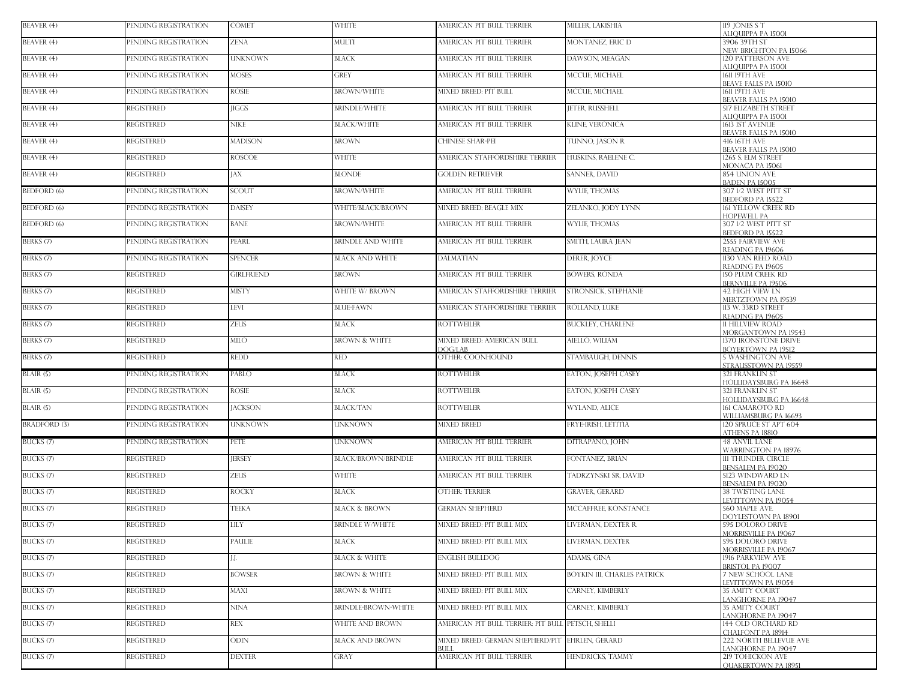| BEAVER (4)           | PENDING REGISTRATION | <b>COMET</b>      | <b>WHITE</b>             | AMERICAN PIT BULL TERRIER                                | MILLER, LAKISHIA                   | 119 JONES S T<br>ALIQUIPPA PA 15001                  |
|----------------------|----------------------|-------------------|--------------------------|----------------------------------------------------------|------------------------------------|------------------------------------------------------|
| BEAVER (4)           | PENDING REGISTRATION | ZENA              | MULTI                    | AMERICAN PIT BULL TERRIER                                | MONTANEZ, ERIC D                   | 3906 39TH ST<br>NEW BRIGHTON PA 15066                |
| BEAVER (4)           | PENDING REGISTRATION | UNKNOWN           | <b>BLACK</b>             | AMERICAN PIT BULL TERRIER                                | DAWSON, MEAGAN                     | 120 PATTERSON AVE<br>ALIQUIPPA PA 15001              |
| BEAVER (4)           | PENDING REGISTRATION | <b>MOSES</b>      | <b>GREY</b>              | AMERICAN PIT BULL TERRIER                                | MCCUE, MICHAEL                     | <b>1611 19TH AVE</b><br>BEAVE FALLS PA 15010         |
| BEAVER (4)           | PENDING REGISTRATION | <b>ROSIE</b>      | <b>BROWN/WHITE</b>       | MIXED BREED: PIT BULL                                    | MCCUE, MICHAEL                     | <b>1611 19TH AVE</b><br><b>BEAVER FALLS PA 15010</b> |
| BEAVER (4)           | <b>REGISTERED</b>    | <b>IIGGS</b>      | <b>BRINDLE/WHITE</b>     | AMERICAN PIT BULL TERRIER                                | <b>JETER, RUSSHELI</b>             | <b>517 ELIZABETH STREET</b><br>ALIQUIPPA PA 15001    |
| BEAVER (4)           | <b>REGISTERED</b>    | NIKE              | <b>BLACK/WHITE</b>       | AMERICAN PIT BULL TERRIER                                | <b>KLINE, VERONICA</b>             | 1613 IST AVENUE<br><b>BEAVER FALLS PA 15010</b>      |
| BEAVER (4)           | <b>REGISTERED</b>    | <b>MADISON</b>    | <b>BROWN</b>             | CHINESE SHAR-PEI                                         | TUNNO. IASON R.                    | <b>416 16TH AVE</b><br><b>BEAVER FALLS PA 15010</b>  |
| BEAVER (4)           | REGISTERED           | ROSCOE            | <b>WHITE</b>             | AMERICAN STAFFORDSHIRE TERRIER                           | HUSKINS, RAELENE C.                | 1265 S. ELM STREET<br>MONACA PA 15061                |
| BEAVER (4)           | REGISTERED           | JAX               | <b>BLONDE</b>            | <b>GOLDEN RETRIEVER</b>                                  | <b>SANNER, DAVID</b>               | 854 UNION AVE<br><b>BADEN PA 15005</b>               |
| <b>BEDFORD</b> (6)   | PENDING REGISTRATION | <b>SCOUT</b>      | <b>BROWN/WHITE</b>       | AMERICAN PIT BULL TERRIER                                | <b>WYLIE, THOMAS</b>               | 307 1/2 WEST PITT ST<br>BEDFORD PA 15522             |
| <b>BEDFORD</b> (6)   | PENDING REGISTRATION | <b>DAISEY</b>     | WHITE/BLACK/BROWN        | MIXED BREED: BEAGLE MIX                                  | ZELANKO, JODY LYNN                 | 161 YELLOW CREEK RD<br><b>HOPEWELL PA</b>            |
| <b>BEDFORD</b> (6)   | PENDING REGISTRATION | <b>BANE</b>       | <b>BROWN/WHITE</b>       | AMERICAN PIT BULL TERRIER                                | <b>WYLIE, THOMAS</b>               | 307 1/2 WEST PITT ST<br>BEDFORD PA 15522             |
| BERKS (7)            | PENDING REGISTRATION | PEARL             | <b>BRINDLE AND WHITE</b> | AMERICAN PIT BULL TERRIER                                | SMITH, LAURA JEAN                  | <b>2555 FAIRVIEW AVE</b><br>READING PA 19606         |
| BERKS (7)            | PENDING REGISTRATION | <b>SPENCER</b>    | <b>BLACK AND WHITE</b>   | <b>DALMATIAN</b>                                         | DERER, JOYCE                       | 1130 VAN REED ROAD<br>READING PA 19605               |
| BERKS (7)            | <b>REGISTERED</b>    | <b>GIRLFRIEND</b> | <b>BROWN</b>             | AMERICAN PIT BULL TERRIER                                | <b>BOWERS, RONDA</b>               | 150 PLUM CREEK RD<br>BERNVILLE PA 19506              |
| BERKS <sup>(7)</sup> | <b>REGISTERED</b>    | <b>MISTY</b>      | <b>WHITE W/ BROWN</b>    | AMERICAN STAFFORDSHIRE TERRIER                           | STRONSICK, STEPHANIE               | <b>42 HIGH VIEW LN</b><br><b>MERTZTOWN PA 19539</b>  |
| BERKS (7)            | <b>REGISTERED</b>    | <b>LEVI</b>       | <b>BLUE-FAWN</b>         | AMERICAN STAFFORDSHIRE TERRIER                           | ROLLAND, LUKE                      | 113 W. 33RD STREET<br>READING PA 19605               |
| BERKS (7)            | <b>REGISTERED</b>    | <b>ZEUS</b>       | <b>BLACK</b>             | <b>ROTTWEILER</b>                                        | <b>BUCKLEY, CHARLENE</b>           | 11 HILLVIEW ROAD<br><b>MORGANTOWN PA 19543</b>       |
| BERKS (7)            | <b>REGISTERED</b>    | <b>MILO</b>       | <b>BROWN &amp; WHITE</b> | MIXED BREED: AMERICAN BULL<br><b>DOG/LAB</b>             | AIELLO, WILIAM                     | 1370 IRONSTONE DRIVE<br>BOYERTOWN PA 19512           |
| BERKS (7)            | <b>REGISTERED</b>    | redd              | <b>RED</b>               | OTHER: COONHOUND                                         | STAMBAUGH, DENNIS                  | <b>5 WASHINGTON AVE</b><br>STRAUSSTOWN PA 19559      |
| BLAIR(5)             | PENDING REGISTRATION | PABLO             | <b>BLACK</b>             | ROTTWEILER                                               | EATON, JOSEPH CASEY                | <b>321 FRANKLIN ST</b><br>HOLLIDAYSBURG PA 16648     |
| BLAIR (5)            | PENDING REGISTRATION | rosie             | <b>BLACK</b>             | <b>ROTTWEILER</b>                                        | EATON, JOSEPH CASEY                | <b>321 FRANKLIN ST</b><br>HOLLIDAYSBURG PA 16648     |
| BLAIR(5)             | PENDING REGISTRATION | <b>JACKSON</b>    | <b>BLACK/TAN</b>         | <b>ROTTWEILER</b>                                        | WYLAND, ALICE                      | 161 CAMAROTO RD<br>WILLIAMSBURG PA 16693             |
| <b>BRADFORD</b> (3)  | PENDING REGISTRATION | UNKNOWN           | <b>UNKNOWN</b>           | <b>MIXED BREED</b>                                       | FRYE-IRISH, LETITIA                | 120 SPRUCE ST APT 604<br>ATHENS PA 18810             |
| BUCKS <sub>(7)</sub> | PENDING REGISTRATION | PETE              | <b>UNKNOWN</b>           | AMERICAN PIT BULL TERRIER                                | DITRAPANO, JOHN                    | <b>48 ANVIL LANE</b><br>WARRINGTON PA 18976          |
| BUCKS (7)            | <b>REGISTERED</b>    | <b>JERSEY</b>     | BLACK/BROWN/BRINDLE      | AMERICAN PIT BULL TERRIER                                | FONTANEZ, BRIAN                    | <b>111 THUNDER CIRCLE</b><br>BENSALEM PA 19020       |
| BUCKS <sup>(7)</sup> | <b>REGISTERED</b>    | <b>ZEUS</b>       | <b>WHITE</b>             | AMERICAN PIT BULL TERRIER                                | TADRZYNSKI SR, DAVID               | 5123 WINDWARD LN<br>BENSALEM PA 19020                |
| BUCKS (7)            | <b>REGISTERED</b>    | ROCKY             | <b>BLACK</b>             | OTHER: TERRIER                                           | <b>GRAVER, GERARD</b>              | <b>38 TWISTING LANE</b><br>LEVITTOWN PA 19054        |
| BUCKS (7)            | <b>REGISTERED</b>    | <b>TEEKA</b>      | <b>BLACK &amp; BROWN</b> | <b>GERMAN SHEPHERD</b>                                   | MCCAFFREE, KONSTANCE               | 560 MAPLE AVE.<br>DOYLESTOWN PA 18901                |
| BUCKS (7)            | <b>REGISTERED</b>    | <b>LILY</b>       | <b>BRINDLE W/WHITE</b>   | MIXED BREED: PIT BULL MIX                                | LIVERMAN, DEXTER R.                | 595 DOLORO DRIVE<br><b>MORRISVILLE PA 19067</b>      |
| BUCKS (7)            | <b>REGISTERED</b>    | PAULIE            | <b>BLACK</b>             | MIXED BREED: PIT BULL MIX                                | LIVERMAN, DEXTER                   | 595 DOLORO DRIVE<br><b>MORRISVILLE PA 19067</b>      |
| BUCKS <sup>(7)</sup> | <b>REGISTERED</b>    | J.J.              | <b>BLACK &amp; WHITE</b> | ENGLISH BUILLDOG                                         | ADAMS, GINA                        | 1916 PARKVIEW AVE<br>BRISTOL PA 19007                |
| BUCKS (7)            | <b>REGISTERED</b>    | <b>BOWSER</b>     | <b>BROWN &amp; WHITE</b> | MIXED BREED: PIT BULL MIX                                | <b>BOYKIN III, CHARLES PATRICK</b> | 7 NEW SCHOOL LANE<br>LEVITTOWN PA 19054              |
| BUCKS <sup>(7)</sup> | <b>REGISTERED</b>    | MAXI              | <b>BROWN &amp; WHITE</b> | MIXED BREED: PIT BULL MIX                                | CARNEY, KIMBERLY                   | <b>35 AMITY COURT</b><br>LANGHORNE PA 19047          |
| BUCKS (7)            | REGISTERED           | NINA              | BRINDLE-BROWN-WHITE      | MIXED BREED: PIT BULL MIX                                | CARNEY, KIMBERLY                   | 35 AMITY COURT<br>LANGHORNE PA 19047                 |
| BUCKS (7)            | <b>REGISTERED</b>    | REX               | WHITE AND BROWN          | AMERICAN PIT BULL TERRIER: PIT BULL PETSCH, SHELLI       |                                    | 144 OLD ORCHARD RD<br>CHALFONT PA 18914              |
| BUCKS (7)            | <b>REGISTERED</b>    | ODIN              | <b>BLACK AND BROWN</b>   | MIXED BREED: GERMAN SHEPHERD/PIT EHRLEN, GERARD<br>BULLI |                                    | <b>222 NORTH BELLEVUE AVE</b><br>LANGHORNE PA 19047  |
| BUCKS (7)            | REGISTERED           | <b>DEXTER</b>     | <b>GRAY</b>              | AMERICAN PIT BULL TERRIER                                | HENDRICKS, TAMMY                   | 219 TOHICKON AVE<br><b>QUAKERTOWN PA 18951</b>       |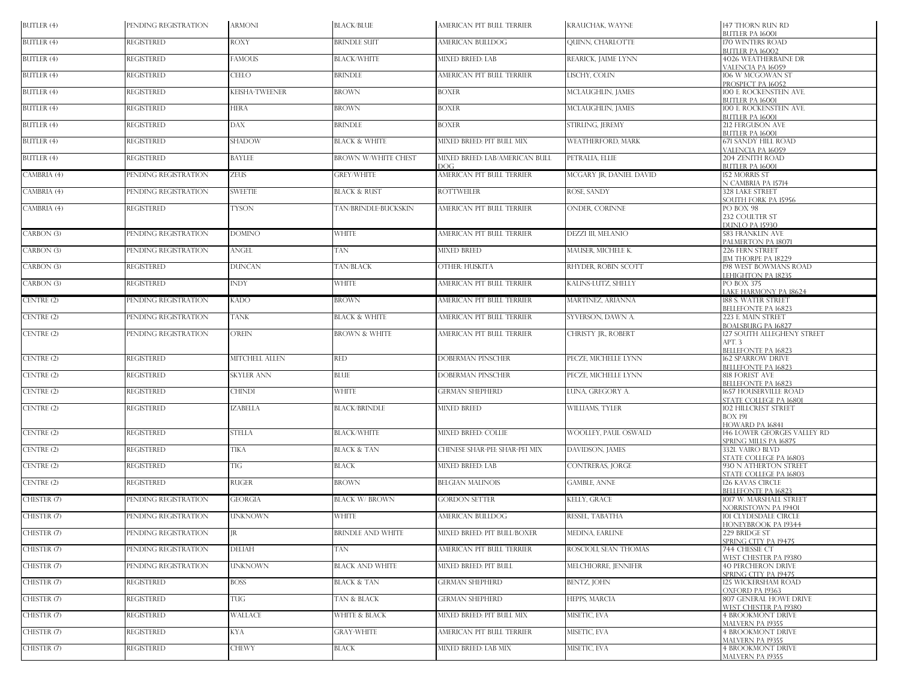| BUTLER (4)  | PENDING REGISTRATION | <b>ARMONI</b>         | <b>BLACK/BLUE</b>          | AMERICAN PIT BULL TERRIER              | <b>KRAUCHAK, WAYNE</b>    | 147 THORN RUN RD<br><b>BUTLER PA 16001</b>                    |
|-------------|----------------------|-----------------------|----------------------------|----------------------------------------|---------------------------|---------------------------------------------------------------|
| BUTLER (4)  | <b>REGISTERED</b>    | <b>ROXY</b>           | <b>BRINDLE SUIT</b>        | AMERICAN BULLDOG                       | <b>QUINN, CHARLOTTE</b>   | 170 WINTERS ROAD<br>BUTLER PA 16002                           |
| BUTLER (4)  | <b>REGISTERED</b>    | <b>FAMOUS</b>         | <b>BLACK/WHITE</b>         | <b>MIXED BREED: LAB</b>                | REARICK, JAIME LYNN       | <b>4026 WEATHERBAINE DR</b><br>VALENCIA PA 16059              |
| BUTLER (4)  | <b>REGISTERED</b>    | <b>CEELO</b>          | BRINDLE                    | AMERICAN PIT BULL TERRIER              | LISCHY, COLIN             | 106 W MCGOWAN ST                                              |
| BUTLER (4)  | <b>REGISTERED</b>    | <b>KEISHA-TWEENER</b> | <b>BROWN</b>               | <b>BOXER</b>                           | MCLAUGHLIN, JAMES         | PROSPECT PA 16052<br>100 E. ROCKENSTEIN AVE.                  |
| BUTLER (4)  | <b>REGISTERED</b>    | <b>HERA</b>           | <b>BROWN</b>               | <b>BOXER</b>                           | MCLAUGHLIN, JAMES         | BUTLER PA 16001<br>100 E. ROCKENSTEIN AVE.<br>BUTLER PA 16001 |
| BUTLER (4)  | <b>REGISTERED</b>    | <b>DAX</b>            | BRINDLE                    | <b>BOXER</b>                           | STIRLING, JEREMY          | 212 FERGUSON AVE<br><b>BUTLER PA 16001</b>                    |
| BUTLER (4)  | <b>REGISTERED</b>    | <b>SHADOW</b>         | <b>BLACK &amp; WHITE</b>   | MIXED BREED: PIT BULL MIX              | <b>WEATHERFORD, MARK</b>  | <b>671 SANDY HILL ROAD</b><br>VALENCIA PA 16059               |
| BUTLER (4)  | <b>REGISTERED</b>    | <b>BAYLEE</b>         | <b>BROWN W/WHITE CHEST</b> | MIXED BREED: LAB/AMERICAN BULL<br>DOG. | PETRALIA, ELLIE           | 204 ZENITH ROAD<br><b>BUTLER PA 16001</b>                     |
| CAMBRIA (4) | PENDING REGISTRATION | <b>ZEUS</b>           | <b>GREY/WHITE</b>          | AMERICAN PIT BULL TERRIER              | MCGARY JR, DANIEL DAVID   | 152 MORRIS ST<br>N CAMBRIA PA 15714                           |
| CAMBRIA (4) | PENDING REGISTRATION | <b>SWEETIE</b>        | <b>BLACK &amp; RUST</b>    | <b>ROTTWEILER</b>                      | ROSE, SANDY               | 328 LAKE STREET<br>SOUTH FORK PA 15956                        |
| CAMBRIA (4) | <b>REGISTERED</b>    | <b>TYSON</b>          | TAN/BRINDLE-BUCKSKIN       | AMERICAN PIT BULL TERRIER              | ONDER, CORINNE            | PO BOX 98<br>232 COULTER ST                                   |
|             |                      |                       |                            |                                        |                           | DUNLO PA 15930                                                |
| CARBON (3)  | PENDING REGISTRATION | <b>DOMINO</b>         | WHITE                      | AMERICAN PIT BULL TERRIER              | <b>DEZZI III, MELANIO</b> | <b>583 FRANKLIN AVE</b><br>PALMERTON PA 18071                 |
| CARBON (3)  | PENDING REGISTRATION | <b>ANGEL</b>          | <b>TAN</b>                 | <b>MIXED BREED</b>                     | MAUSER, MICHELE K.        | 226 FERN STREET<br><b>JIM THORPE PA 18229</b>                 |
| CARBON (3)  | <b>REGISTERED</b>    | <b>DUNCAN</b>         | TAN/BLACK                  | OTHER: HUSKITA                         | RHYDER, ROBIN SCOTT       | 198 WEST BOWMANS ROAD<br>LEHIGHTON PA 18235                   |
| CARBON (3)  | <b>REGISTERED</b>    | <b>INDY</b>           | WHITE                      | AMERICAN PIT BULL TERRIER              | KALINS-LUTZ, SHELLY       | <b>PO BOX 375</b><br>LAKE HARMONY PA 18624                    |
| CENTRE (2)  | PENDING REGISTRATION | <b>KADO</b>           | BROWN                      | AMERICAN PIT BULL TERRIER              | MARTINEZ, ARIANNA         | 188 S. WATER STREET<br><b>BELLEFONTE PA 16823</b>             |
| CENTRE (2)  | PENDING REGISTRATION | <b>TANK</b>           | <b>BLACK &amp; WHITE</b>   | AMERICAN PIT BULL TERRIER              | SYVERSON, DAWN A.         | 223 E. MAIN STREET<br><b>BOALSBURG PA 16827</b>               |
| CENTRE (2)  | PENDING REGISTRATION | <b>O'REIN</b>         | <b>BROWN &amp; WHITE</b>   | AMERICAN PIT BULL TERRIER              | CHRISTY JR., ROBERT       | 127 SOUTH ALLEGHENY STREET<br>APT. 3                          |
| CENTRE (2)  | <b>REGISTERED</b>    | <b>MITCHELL ALLEN</b> | <b>RED</b>                 | <b>DOBERMAN PINSCHER</b>               | PECZE, MICHELLE LYNN      | BELLEFONTE PA 16823<br><b>162 SPARROW DRIVE</b>               |
|             |                      |                       |                            |                                        |                           | <b>BELLEFONTE PA 16823</b>                                    |
| CENTRE (2)  | <b>REGISTERED</b>    | <b>SKYLER ANN</b>     | <b>BLUE</b>                | <b>DOBERMAN PINSCHER</b>               | PECZE, MICHELLE LYNN      | 818 FOREST AVE<br>BELLEFONTE PA 16823                         |
| CENTRE (2)  | <b>REGISTERED</b>    | <b>CHINDI</b>         | <b>WHITE</b>               | <b>GERMAN SHEPHERD</b>                 | LUNA, GREGORY A.          | 1657 HOUSERVILLE ROAD<br>STATE COLLEGE PA 16801               |
| CENTRE (2)  | <b>REGISTERED</b>    | <b>IZABELLA</b>       | <b>BLACK/BRINDLE</b>       | <b>MIXED BREED</b>                     | WILLIAMS, TYLER           | 102 HILLCREST STREET<br>BOX 191                               |
| CENTRE (2)  | <b>REGISTERED</b>    | <b>STELLA</b>         | <b>BLACK/WHITE</b>         | <b>MIXED BREED: COLLIE</b>             | WOOLLEY, PAUL OSWALD      | HOWARD PA 16841<br>146 LOWER GEORGES VALLEY RD                |
| CENTRE (2)  | <b>REGISTERED</b>    | TIKA                  | <b>BLACK &amp; TAN</b>     | CHINESE SHAR-PEI: SHAR-PEI MIX         | DAVIDSON, JAMES           | SPRING MILLS PA 16875<br>332L VAIRO BLVD                      |
| CENTRE (2)  | <b>REGISTERED</b>    | TIG                   | BLACK                      | MIXED BREED: LAB                       | <b>CONTRERAS, JORGE</b>   | STATE COLLEGE PA 16803<br>930 N ATHERTON STREET               |
|             |                      |                       |                            |                                        |                           | STATE COLLEGE PA 16803                                        |
| CENTRE (2)  | <b>REGISTERED</b>    | <b>RUGER</b>          | <b>BROWN</b>               | <b>BELGIAN MALINOIS</b>                | <b>GAMBLE, ANNE</b>       | 126 KAVAS CIRCLE<br><b>BELLEFONTE PA 16823</b>                |
| CHESTER (7) | PENDING REGISTRATION | <b>GEORGIA</b>        | BLACK W/ BROWN             | <b>GORDON SETTER</b>                   | KELLY, GRACE              | 1017 W. MARSHALL STREET<br>NORRISTOWN PA 19401                |
| CHESTER (7) | PENDING REGISTRATION | <b>UNKNOWN</b>        | <b>WHITE</b>               | AMERICAN BULLDOG                       | RESSEL, TABATHA           | 101 CLYDESDALE CIRCLE<br>HONEYBROOK PA 19344                  |
| CHESTER (7) | PENDING REGISTRATION | JR                    | BRINDLE AND WHITE          | MIXED BREED: PIT BULL/BOXER            | MEDINA, EARLINE           | 229 BRIDGE ST<br>SPRING CITY PA 19475                         |
| CHESTER (7) | PENDING REGISTRATION | <b>DELIAH</b>         | TAN                        | AMERICAN PIT BULL TERRIER              | ROSCIOLI, SEAN THOMAS     | 744 CHESSIE CT<br>WEST CHESTER PA 19380                       |
| CHESTER (7) | PENDING REGISTRATION | <b>UNKNOWN</b>        | <b>BLACK AND WHITE</b>     | <b>MIXED BREED: PIT BULL</b>           | MELCHIORRE, JENNIFER      | <b>40 PERCHERON DRIVE</b><br>SPRING CITY PA 19475             |
| CHESTER (7) | <b>REGISTERED</b>    | <b>BOSS</b>           | <b>BLACK &amp; TAN</b>     | <b>GERMAN SHEPHERD</b>                 | <b>BENTZ, JOHN</b>        | 125 WICKERSHAM ROAD<br>OXFORD PA 19363                        |
| CHESTER (7) | <b>REGISTERED</b>    | TUG                   | TAN & BLACK                | <b>GERMAN SHEPHERD</b>                 | HEPPS, MARCIA             | 807 GENERAL HOWE DRIVE<br>WEST CHESTER PA 19380               |
| CHESTER (7) | <b>REGISTERED</b>    | <b>WALLACE</b>        | WHITE & BLACK              | MIXED BREED: PIT BULL MIX              | MISETIC, EVA              | <b>4 BROOKMONT DRIVE</b><br><b>MALVERN PA 19355</b>           |
| CHESTER (7) | <b>REGISTERED</b>    | <b>KYA</b>            | <b>GRAY-WHITE</b>          | AMERICAN PIT BULL TERRIER              | MISETIC, EVA              | <b>4 BROOKMONT DRIVE</b><br><b>MALVERN PA 19355</b>           |
| CHESTER (7) | <b>REGISTERED</b>    | <b>CHEWY</b>          | BLACK                      | <b>MIXED BREED: LAB MIX</b>            | MISETIC, EVA              | <b>4 BROOKMONT DRIVE</b>                                      |
|             |                      |                       |                            |                                        |                           | <b>MALVERN PA 19355</b>                                       |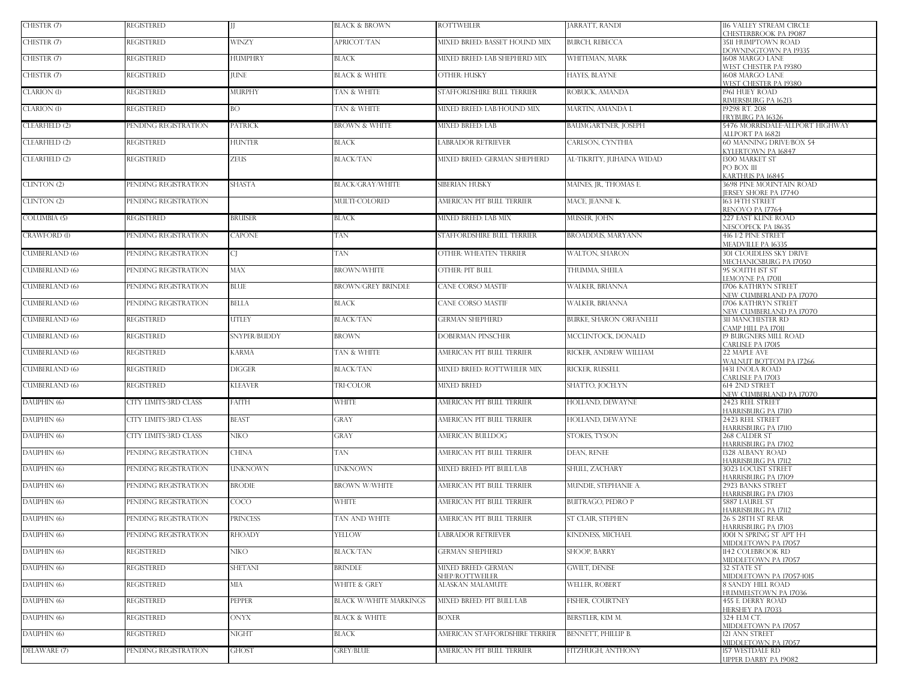| CHESTER (7)           | <b>REGISTERED</b>     | $\mathbf{H}$   | <b>BLACK &amp; BROWN</b>      | ROTTWEILER                          | JARRATT, RANDI             | 116 VALLEY STREAM CIRCLE<br>CHESTERBROOK PA 19087        |
|-----------------------|-----------------------|----------------|-------------------------------|-------------------------------------|----------------------------|----------------------------------------------------------|
| CHESTER (7)           | <b>REGISTERED</b>     | <b>WINZY</b>   | APRICOT/TAN                   | MIXED BREED: BASSET HOUND MIX       | <b>BURCH, REBECCA</b>      | 3511 HUMPTOWN ROAD<br>DOWNINGTOWN PA 19335               |
| CHESTER (7)           | <b>REGISTERED</b>     | <b>HUMPHRY</b> | <b>BLACK</b>                  | MIXED BREED: LAB SHEPHERD MIX       | WHITEMAN, MARK             | 1608 MARGO LANE                                          |
| CHESTER (7)           | <b>REGISTERED</b>     | <b>JUNE</b>    | <b>BLACK &amp; WHITE</b>      | OTHER: HUSKY                        | HAYES, BLAYNE              | WEST CHESTER PA 19380<br>1608 MARGO LANE                 |
| CLARION (1)           | REGISTERED            | MURPHY         | TAN & WHITE                   | STAFFORDSHIRE BULL TERRIER          | ROBUCK, AMANDA             | WEST CHESTER PA 1938O<br>1961 HUEY ROAD                  |
| CLARION (1)           | <b>REGISTERED</b>     | <b>BO</b>      | TAN & WHITE                   | MIXED BREED: LAB/HOUND MIX          | MARTIN, AMANDA L           | RIMERSBURG PA 16213<br>19298 RT. 208                     |
|                       |                       |                |                               |                                     |                            | FRYBURG PA 16326                                         |
| CLEARFIELD (2)        | PENDING REGISTRATION  | <b>PATRICK</b> | <b>BROWN &amp; WHITE</b>      | MIXED BREED: LAB                    | <b>BAUMGARTNER, JOSEPH</b> | 5476 MORRISDALE-ALLPORT HIGHWAY<br>ALLPORT PA 16821      |
| CLEARFIELD (2)        | <b>REGISTERED</b>     | <b>HUNTER</b>  | BLACK                         | ABRADOR RETRIEVER                   | CARLSON, CYNTHIA           | 60 MANNING DRIVE/BOX 54<br>KYLERTOWN PA 16847            |
| CLEARFIELD (2)        | <b>REGISTERED</b>     | <b>ZEUS</b>    | <b>BLACK/TAN</b>              | MIXED BREED: GERMAN SHEPHERD        | AL-TIKRITY, JUHAINA WIDAD  | 1300 MARKET ST<br>PO BOX 111<br>KARTHUS PA 16845         |
| CLINTON (2)           | PENDING REGISTRATION  | <b>SHASTA</b>  | BLACK/GRAY/WHITE              | SIBERIAN HUSKY                      | MAINES, JR., THOMAS E.     | 3698 PINE MOUNTAIN ROAD                                  |
| CLINTON (2)           | PENDING REGISTRATION  |                | MULTI-COLORED                 | AMERICAN PIT BULL TERRIER           | MACE, JEANNE K.            | JERSEY SHORE PA 17740<br>163 14TH STREET                 |
| COLUMBIA (5)          | REGISTERED            | <b>BRUISER</b> | <b>BLACK</b>                  | MIXED BREED: LAB MIX                | MUSSER, JOHN               | RENOVO PA 17764<br>227 EAST KLINE ROAD                   |
| <b>CRAWFORD (1)</b>   | PENDING REGISTRATION  | <b>CAPONE</b>  | TAN                           | STAFFORDSHIRE BULL TERRIER          | <b>BROADDUS, MARYANN</b>   | NESCOPECK PA 18635<br>416 1/2 PINE STREET                |
|                       | PENDING REGISTRATION  |                |                               | OTHER: WHEATEN TERRIER              |                            | MEADVILLE PA 16335                                       |
| <b>CUMBERLAND (6)</b> |                       | CL             | TAN                           |                                     | WALTON, SHARON             | <b>301 CLOUDLESS SKY DRIVE</b><br>MECHANICSBURG PA 17050 |
| <b>CUMBERLAND (6)</b> | PENDING REGISTRATION  | <b>MAX</b>     | <b>BROWN/WHITE</b>            | OTHER: PIT BULL                     | THUMMA, SHEILA             | 95 SOUTH IST ST<br>LEMOYNE PA 17011                      |
| <b>CUMBERLAND (6)</b> | PENDING REGISTRATION  | <b>BLUE</b>    | <b>BROWN/GREY BRINDLE</b>     | CANE CORSO MASTIF                   | <b>WALKER, BRIANNA</b>     | 1706 KATHRYN STREET<br>NEW CUMBERLAND PA 17070           |
| <b>CUMBERLAND (6)</b> | PENDING REGISTRATION  | <b>BELLA</b>   | <b>BLACK</b>                  | CANE CORSO MASTIF                   | <b>WALKER, BRIANNA</b>     | 1706 KATHRYN STREET<br>NEW CUMBERLAND PA 17070           |
| <b>CUMBERLAND (6)</b> | <b>REGISTERED</b>     | <b>UTLEY</b>   | <b>BLACK/TAN</b>              | <b>GERMAN SHEPHERD</b>              | BURKE, SHARON ORFANELLI    | <b>311 MANCHESTER RD</b>                                 |
| <b>CUMBERLAND (6)</b> | <b>REGISTERED</b>     | SNYPER/BUDDY   | <b>BROWN</b>                  | DOBERMAN PINSCHER                   | MCCLINTOCK, DONALD         | CAMP HILL PA 17011<br>19 BURGNERS MILL ROAD              |
| <b>CUMBERLAND (6)</b> | <b>REGISTERED</b>     | <b>KARMA</b>   | TAN & WHITE                   | AMERICAN PIT BULL TERRIER           | RICKER, ANDREW WILLIAM     | CARLISLE PA 17015<br>22 MAPLE AVE                        |
| <b>CUMBERLAND (6)</b> | <b>REGISTERED</b>     | <b>DIGGER</b>  | <b>BLACK/TAN</b>              | MIXED BREED: ROTTWEILER MIX         | RICKER, RUSSELL            | WALNUT BOTTOM PA 17266<br>1431 ENOLA ROAD                |
| <b>CUMBERLAND (6)</b> | <b>REGISTERED</b>     | <b>KLEAVER</b> | TRI-COLOR                     | <b>MIXED BREED</b>                  | SHATTO, JOCELYN            | CARLISLE PA 17013<br>614 2ND STREET                      |
| DAUPHIN (6)           | CITY LIMITS-3RD CLASS | FAITH          | <b>WHITE</b>                  | AMERICAN PIT BULL TERRIER           | HOLLAND, DEWAYNE           | NEW CUMBERLAND PA 17070<br>2423 REEL STREET              |
| DAUPHIN (6)           | CITY LIMITS-3RD CLASS | <b>BEAST</b>   | GRAY                          | AMERICAN PIT BULL TERRIER           | HOLLAND, DEWAYNE           | HARRISBURG PA 17110<br>2423 REEL STREET                  |
|                       |                       |                |                               |                                     |                            | HARRISBURG PA 17110                                      |
| DAUPHIN (6)           | CITY LIMITS-3RD CLASS | NIKO.          | GRAY                          | AMERICAN BULLDOG                    | <b>STOKES, TYSON</b>       | 268 CALDER ST<br>HARRISBURG PA 17102                     |
| DAUPHIN (6)           | PENDING REGISTRATION  | <b>CHINA</b>   | TAN                           | AMERICAN PIT BULL TERRIER           | DEAN, RENEE                | 1328 ALBANY ROAD<br><b>HARRISBURG PA 17112</b>           |
| DAUPHIN (6)           | PENDING REGISTRATION  | <b>UNKNOWN</b> | <b>UNKNOWN</b>                | MIXED BREED: PIT BUILL/LAB          | SHULL, ZACHARY             | <b>3023 LOCUST STREET</b><br>HARRISBURG PA 17109         |
| DAUPHIN (6)           | PENDING REGISTRATION  | <b>BRODIE</b>  | <b>BROWN W/WHITE</b>          | AMERICAN PIT BULL TERRIER           | MUNDIE, STEPHANIE A.       | 2923 BANKS STREET<br>HARRISBURG PA 17103                 |
| DAUPHIN (6)           | PENDING REGISTRATION  | <b>COCO</b>    | <b>WHITE</b>                  | AMERICAN PIT BULL TERRIER           | <b>BUITRAGO, PEDRO P</b>   | <b>5887 LAUREL ST</b>                                    |
| DAUPHIN (6)           | PENDING REGISTRATION  | PRINCESS       | TAN AND WHITE                 | AMERICAN PIT BULL TERRIER           | ST CLAIR, STEPHEN          | HARRISBURG PA 17112<br>26 S 28TH ST REAR                 |
| DAUPHIN (6)           | PENDING REGISTRATION  | <b>RHOADY</b>  | <b>YELLOW</b>                 | ABRADOR RETRIEVER                   | KINDNESS, MICHAEL          | HARRISBURG PA 17103<br>1001 N SPRING ST APT H-1          |
| DAUPHIN (6)           | <b>REGISTERED</b>     | NIKO .         | <b>BLACK/TAN</b>              | <b>GERMAN SHEPHERD</b>              | <b>SHOOP, BARRY</b>        | MIDDLETOWN PA 17057<br>1142 COLEBROOK RD                 |
| DAUPHIN (6)           | <b>REGISTERED</b>     | <b>SHETANI</b> | <b>BRINDLE</b>                | MIXED BREED: GERMAN                 | <b>GWILT, DENISE</b>       | MIDDLETOWN PA 17057<br>32 STATE ST                       |
| DAUPHIN (6)           | <b>REGISTERED</b>     | <b>MIA</b>     | <b>WHITE &amp; GREY</b>       | SHEP/ROTTWEILER<br>ALASKAN MALAMUTE | <b>WELLER, ROBERT</b>      | MIDDLETOWN PA 17057-1015<br><b>8 SANDY HILL ROAD</b>     |
| DAUPHIN (6)           | <b>REGISTERED</b>     | PEPPER         | <b>BLACK W/WHITE MARKINGS</b> | MIXED BREED: PIT BULL/LAB           | <b>FISHER, COURTNEY</b>    | HUMMELSTOWN PA 17036<br><b>455 E. DERRY ROAD</b>         |
|                       |                       |                |                               |                                     |                            | HERSHEY PA 17033                                         |
| DAUPHIN (6)           | <b>REGISTERED</b>     | <b>ONYX</b>    | <b>BLACK &amp; WHITE</b>      | <b>BOXER</b>                        | BERSTLER, KIM M.           | 324 ELM CT.<br>MIDDLETOWN PA 17057                       |
| DAUPHIN (6)           | <b>REGISTERED</b>     | NIGHT          | <b>BLACK</b>                  | AMERICAN STAFFORDSHIRE TERRIER      | BENNETT, PHILLIP B.        | 121 ANN STREET<br>MIDDLETOWN PA 17057                    |
| DELAWARE (7)          | PENDING REGISTRATION  | <b>GHOST</b>   | <b>GREY/BLUE</b>              | AMERICAN PIT BULL TERRIER           | FITZHUGH, ANTHONY          | 157 WESTDALE RD<br><b>UPPER DARBY PA 19082</b>           |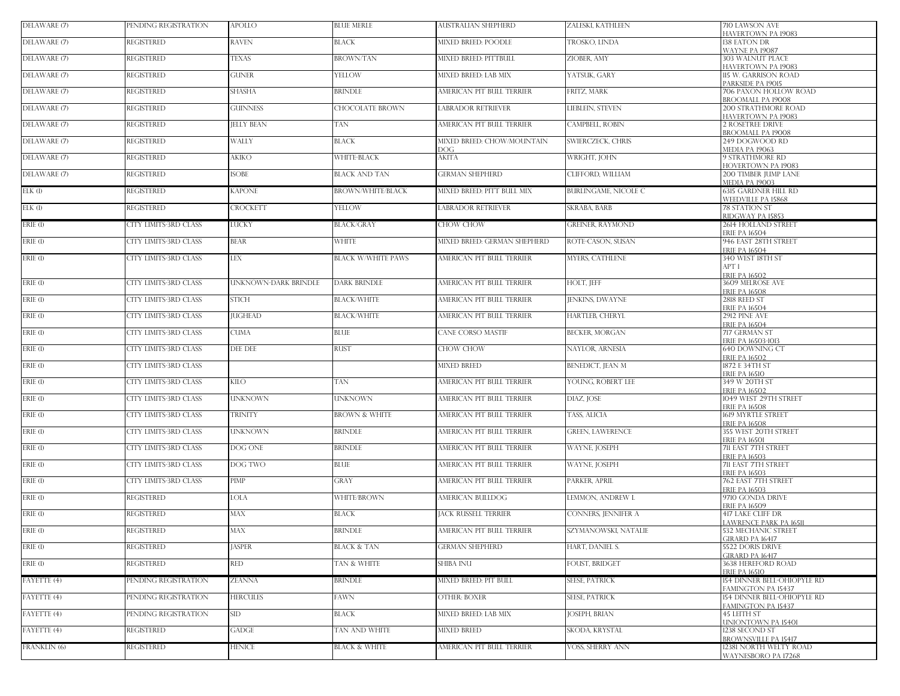| DELAWARE (7)              | PENDING REGISTRATION         | <b>APOLLO</b>        | <b>BLUE MERLE</b>         | AUSTRALIAN SHEPHERD              | ZALESKI, KATHLEEN           | 710 LAWSON AVE<br>HAVERTOWN PA 19083                                 |
|---------------------------|------------------------------|----------------------|---------------------------|----------------------------------|-----------------------------|----------------------------------------------------------------------|
| DELAWARE (7)              | REGISTERED                   | RAVEN                | BLACK                     | MIXED BREED: POODLE              | TROSKO, LINDA               | 138 EATON DR<br><b>WAYNE PA 19087</b>                                |
| DELAWARE (7)              | REGISTERED                   | <b>TEXAS</b>         | <b>BROWN/TAN</b>          | MIXED BREED: PITTBULL            | ZIOBER, AMY                 | <b>303 WALNUT PLACE</b><br><b>HAVERTOWN PA 19083</b>                 |
| DELAWARE (7)              | <b>REGISTERED</b>            | <b>GUNER</b>         | YELLOW                    | <b>MIXED BREED: LAB MIX</b>      | YATSUK, GARY                | 115 W. GARRISON ROAD                                                 |
| DELAWARE (7)              | <b>REGISTERED</b>            | <b>SHASHA</b>        | BRINDLE                   | AMERICAN PIT BULL TERRIER        | FRITZ, MARK                 | PARKSIDE PA 19015<br>706 PAXON HOLLOW ROAD<br>BROOMALL PA 19008      |
| DELAWARE (7)              | <b>REGISTERED</b>            | <b>GUINNESS</b>      | CHOCOLATE BROWN           | LABRADOR RETRIEVER               | <b>LIEBLEIN, STEVEN</b>     | <b>200 STRATHMORE ROAD</b><br>HAVERTOWN PA 19083                     |
| DELAWARE (7)              | <b>REGISTERED</b>            | <b>JELLY BEAN</b>    | TAN                       | AMERICAN PIT BULL TERRIER        | <b>CAMPBELL, ROBIN</b>      | <b>2 ROSETREE DRIVE</b>                                              |
| DELAWARE (7)              | <b>REGISTERED</b>            | WALLY                | <b>BLACK</b>              | MIXED BREED: CHOW/MOUNTAIN<br>ЮG | SWIERCZECK, CHRIS           | <b>BROOMALL PA 19008</b><br>249 DOGWOOD RD<br>MEDIA PA 19063         |
| DELAWARE (7)              | <b>REGISTERED</b>            | AKIKO                | <b>WHITE-BLACK</b>        | AKITA                            | WRIGHT, IOHN                | <b>9 STRATHMORE RD</b><br>HOVERTOWN PA 19083                         |
| DELAWARE (7)              | REGISTERED                   | <b>ISOBE</b>         | <b>BLACK AND TAN</b>      | <b>GERMAN SHEPHERD</b>           | CLIFFORD, WILLIAM           | 200 TIMBER JUMP LANE<br>MEDIA PA 19003                               |
| ELK(1)                    | <b>REGISTERED</b>            | <b>KAPONE</b>        | <b>BROWN/WHITE/BLACK</b>  | MIXED BREED: PITT BULL MIX       | <b>BURLINGAME, NICOLE C</b> | <b>6315 GARDNER HILL RD</b>                                          |
| ELK(1)                    | REGISTERED                   | CROCKETT             | YELLOW                    | <b>ABRADOR RETRIEVER</b>         | SKRABA, BARB                | WEEDVILLE PA 15868<br>78 STATION ST<br>RIDGWAY PA 15853              |
| ERIE (1)                  | CITY LIMITS-3RD CLASS        | <b>LUCKY</b>         | <b>BLACK/GRAY</b>         | CHOW CHOW                        | <b>GREINER, RAYMOND</b>     | 2614 HOLLAND STREET<br><b>ERIE PA 16504</b>                          |
| ERIE (1)                  | CITY LIMITS-3RD CLASS        | <b>BEAR</b>          | WHITE                     | MIXED BREED: GERMAN SHEPHERD     | ROTE-CASON, SUSAN           | 946 EAST 28TH STREET                                                 |
| ERIE (1)                  | CITY LIMITS-3RD CLASS        | <b>LEX</b>           | <b>BLACK W/WHITE PAWS</b> | AMERICAN PIT BULL TERRIER        | <b>MYERS, CATHLENE</b>      | <b>ERIE PA 16504</b><br>340 WEST 18TH ST                             |
|                           |                              |                      |                           |                                  |                             | APT 1<br><b>ERIE PA 16502</b>                                        |
| ERIE (1)                  | CITY LIMITS-3RD CLASS        | UNKNOWN-DARK BRINDLE | <b>DARK BRINDLE</b>       | AMERICAN PIT BULL TERRIER        | HOLT, JEFF                  | 3609 MELROSE AVE<br><b>FRIE PA 16508</b>                             |
| ERIE (1)                  | <b>CITY LIMITS-3RD CLASS</b> | <b>STICH</b>         | <b>BLACK/WHITE</b>        | AMERICAN PIT BULL TERRIER        | <b>JENKINS, DWAYNE</b>      | 2818 REED ST<br><b>ERIE PA 16504</b>                                 |
| ERIE (1)                  | CITY LIMITS-3RD CLASS        | <b>JUGHEAD</b>       | <b>BLACK/WHITE</b>        | AMERICAN PIT BULL TERRIER        | HARTLEB, CHERYL             | 2912 PINE AVE<br><b>ERIE PA 16504</b>                                |
| $ERIE$ $(1)$              | CITY LIMITS-3RD CLASS        | <b>CUMA</b>          | BLUE                      | CANE CORSO MASTIF                | <b>BECKER, MORGAN</b>       | 717 GERMAN ST<br>ERIE PA 16503-1013                                  |
| ERIE (1)                  | CITY LIMITS-3RD CLASS        | DEE DEE              | RUST                      | CHOW CHOW                        | NAYLOR, ARNESIA             | 640 DOWNING CT<br><b>ERIE PA 16502</b>                               |
| $ERIE$ (1)                | CITY LIMITS-3RD CLASS        |                      |                           | <b>MIXED BREED</b>               | BENEDICT, JEAN M            | 1872 E 34TH ST<br><b>ERIE PA 16510</b>                               |
| ERIE (1)                  | CITY LIMITS-3RD CLASS        | <b>KILO</b>          | TAN                       | AMERICAN PIT BULL TERRIER        | YOUNG, ROBERT LEE           | 349 W 20TH ST<br><b>ERIE PA 16502</b>                                |
| ERIE (1)                  | CITY LIMITS-3RD CLASS        | <b>UNKNOWN</b>       | <b>UNKNOWN</b>            | AMERICAN PIT BULL TERRIER        | DIAZ, JOSE                  | 1049 WEST 29TH STREET<br><b>ERIE PA 16508</b>                        |
| ERIE (1)                  | <b>CITY LIMITS-3RD CLASS</b> | <b>TRINITY</b>       | <b>BROWN &amp; WHITE</b>  | AMERICAN PIT BULL TERRIER        | TASS, ALICIA                | 1619 MYRTLE STREET                                                   |
| $ERIE$ (1)                | CITY LIMITS-3RD CLASS        | <b>UNKNOWN</b>       | <b>BRINDLE</b>            | AMERICAN PIT BULL TERRIER        | <b>GREEN, LAWERENCE</b>     | <b>ERIE PA 16508</b><br>355 WEST 20TH STREET                         |
| ERIE (1)                  | CITY LIMITS-3RD CLASS        | DOG ONE              | BRINDLE                   | AMERICAN PIT BULL TERRIER        | WAYNE, JOSEPH               | <b>ERIE PA 16501</b><br>711 EAST 7TH STREET                          |
| ERIE (1)                  | CITY LIMITS-3RD CLASS        | DOG TWO              | <b>BLUE</b>               | AMERICAN PIT BULL TERRIER        | WAYNE, JOSEPH               | <b>ERIE PA 16503</b><br>711 EAST 7TH STREET                          |
| ERIE (1)                  | CITY LIMITS-3RD CLASS        | PIMP                 | GRAY                      | AMERICAN PIT BULL TERRIER        | PARKER, APRIL               | <b>ERIE PA 16503</b><br>762 EAST 7TH STREET                          |
| ERIE (1)                  | REGISTERED                   | LOLA                 | <b>WHITE/BROWN</b>        | AMERICAN BULLDOG                 | LEMMON, ANDREW L            | <b>ERIE PA 16503</b><br>9710 GONDA DRIVE                             |
| ERIE (1)                  | REGISTERED                   | MAX                  | BLACK                     | <b>JACK RUSSELL TERRIER</b>      | CONNERS, JENNIFER A         | <b>FRIE PA 16509</b><br><b>417 LAKE CLIFF DR</b>                     |
| $ERIE$ $\left( l \right)$ | <b>REGISTERED</b>            | MAX                  | <b>BRINDLE</b>            | AMERICAN PIT BULL TERRIER        | SZYMANOWSKI, NATALIE        | LAWRENCE PARK PA 16511<br>532 MECHANIC STREET                        |
| ERIE(1)                   | <b>REGISTERED</b>            | <b>ASPER</b>         | <b>BLACK &amp; TAN</b>    | <b>GERMAN SHEPHERD</b>           | HART, DANIEL S.             | GIRARD PA 16417<br>5522 DORIS DRIVE                                  |
| ERIE(1)                   | REGISTERED                   | <b>RED</b>           | TAN & WHITE               | SHIBA INU                        | <b>FOUST, BRIDGET</b>       | <b>GIRARD PA 16417</b><br>3638 HEREFORD ROAD<br><b>ERIE PA 16510</b> |
| FAYETTE (4)               | PENDING REGISTRATION         | <b>ZEANNA</b>        | <b>BRINDLE</b>            | MIXED BREED: PIT BULL            | <b>SEESE, PATRICK</b>       | 154 DINNER BELL-OHIOPYLE RD                                          |
| FAYETTE (4)               | PENDING REGISTRATION         | <b>HERCULES</b>      | FAWN                      | OTHER: BOXER                     | <b>SEESE, PATRICK</b>       | FAMINGTON PA 15437<br>154 DINNER BELL-OHIOPYLE RD                    |
| FAYETTE (4)               | PENDING REGISTRATION         | SID                  | BLACK                     | MIXED BREED: LAB MIX             | JOSEPH, BRIAN               | <b>FAMINGTON PA 15437</b><br><b>45 LEITH ST</b>                      |
| FAYETTE (4)               | <b>REGISTERED</b>            | <b>GADGE</b>         | TAN AND WHITE             | <b>MIXED BREED</b>               | SKODA, KRYSTAL              | UNIONTOWN PA 15401<br>1238 SECOND ST                                 |
| FRANKLIN (6)              | <b>REGISTERED</b>            | <b>HENICE</b>        | <b>BLACK &amp; WHITE</b>  | AMERICAN PIT BULL TERRIER        | VOSS, SHERRY ANN            | BROWNSVILLE PA 15417<br>12381 NORTH WELTY ROAD                       |
|                           |                              |                      |                           |                                  |                             | WAYNESBORO PA 17268                                                  |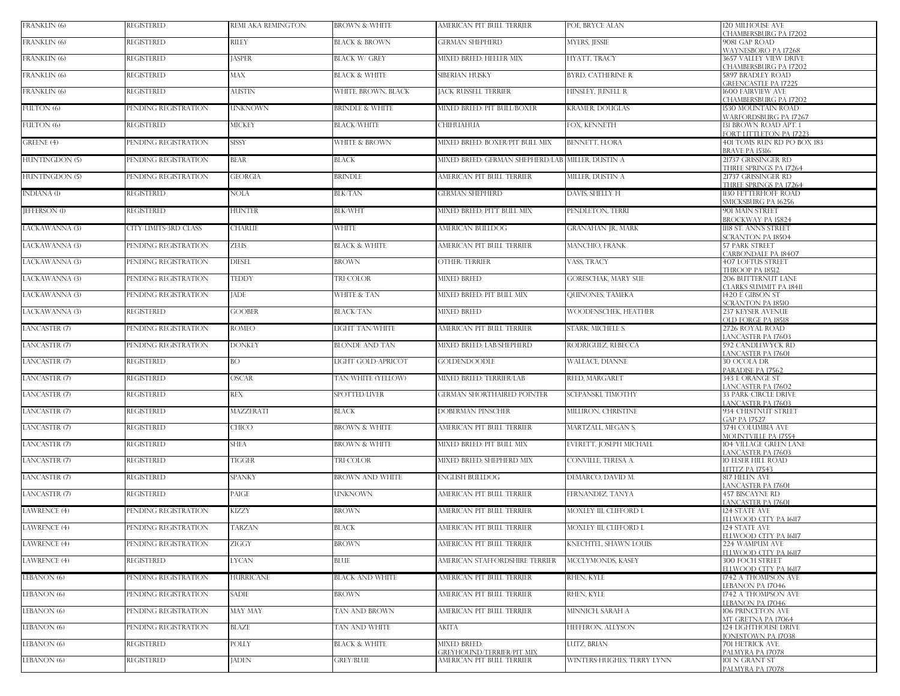| FRANKLIN (6)         | <b>REGISTERED</b>            | REMI AKA REMINGTON | <b>BROWN &amp; WHITE</b>   | AMERICAN PIT BULL TERRIER                               | POE, BRYCE ALAN             | <b>120 MILHOUSE AVE</b><br>CHAMBERSBURG PA 17202                          |
|----------------------|------------------------------|--------------------|----------------------------|---------------------------------------------------------|-----------------------------|---------------------------------------------------------------------------|
| FRANKLIN (6)         | <b>REGISTERED</b>            | RILEY              | <b>BLACK &amp; BROWN</b>   | <b>GERMAN SHEPHERD</b>                                  | MYERS, JESSIE               | 9081 GAP ROAD                                                             |
| FRANKLIN (6)         | <b>REGISTERED</b>            | <b>JASPER</b>      | <b>BLACK W/ GREY</b>       | MIXED BREED: HEELER MIX                                 | HYATT, TRACY                | WAYNESBORO PA 17268<br>3657 VALLEY VIEW DRIVE                             |
| FRANKLIN (6)         | <b>REGISTERED</b>            | <b>MAX</b>         | <b>BLACK &amp; WHITE</b>   | SIBERIAN HUSKY                                          | BYRD, CATHERINE R.          | CHAMBERSBURG PA 17202<br><b>5897 BRADLEY ROAD</b>                         |
| FRANKLIN (6)         | <b>REGISTERED</b>            | <b>AUSTIN</b>      | WHITE, BROWN, BLACK        | <b>JACK RUSSELL TERRIER</b>                             | HINSLEY, JUNELL R           | <b>GREENCASTLE PA 17225</b><br><b>600 FAIRVIEW AVE</b>                    |
| FULTON (6)           | PENDING REGISTRATION         | <b>UNKNOWN</b>     | <b>BRINDLE &amp; WHITE</b> | MIXED BREED: PIT BULL/BOXER                             | KRAMER, DOUGLAS             | CHAMBERSBURG PA 17202<br>1530 MOUNTAIN ROAD                               |
| FULTON (6)           | <b>REGISTERED</b>            | <b>MICKEY</b>      | <b>BLACK/WHITE</b>         | CHIHUAHUA                                               | FOX, KENNETH                | WARFORDSBURG PA 17267<br>131 BROWN ROAD APT. 1<br>FORT LITTLETON PA 17223 |
| GREENE (4)           | PENDING REGISTRATION         | <b>SISSY</b>       | WHITE & BROWN              | MIXED BREED: BOXER/PIT BULL MIX                         | <b>BENNETT, FLORA</b>       | 401 TOMS RUN RD PO BOX 183<br>BRAVE PA 15316                              |
| HUNTINGDON (5)       | PENDING REGISTRATION         | <b>BEAR</b>        | BLACK                      | MIXED BREED: GERMAN SHEPHERD/LAB MILLER, DUSTIN A       |                             | 21737 GRISSINGER RD<br>THREE SPRINGS PA 17264                             |
| HUNTINGDON (5)       | PENDING REGISTRATION         | <b>GEORGIA</b>     | <b>BRINDLE</b>             | AMERICAN PIT BULL TERRIER                               | MILLER, DUSTIN A            | 21737 GRISSINGER RD<br>THREE SPRINGS PA 17264                             |
| INDIANA (1)          | <b>REGISTERED</b>            | <b>NOLA</b>        | <b>BLK/TAN</b>             | <b>GERMAN SHEPHERD</b>                                  | DAVIS, SHELLY H             | 1130 FETTERHOFF ROAD<br>SMICKSBURG PA 16256                               |
| <b>JEFFERSON (1)</b> | <b>REGISTERED</b>            | <b>HUNTER</b>      | <b>BLK/WHT</b>             | MIXED BREED: PITT BULL MIX                              | PENDLETON, TERRI            | 901 MAIN STREET<br>BROCKWAY PA 15824                                      |
| LACKAWANNA (3)       | <b>CITY LIMITS-3RD CLASS</b> | <b>CHARLIE</b>     | <b>WHITE</b>               | AMERICAN BULLDOG                                        | GRANAHAN JR., MARK          | 1118 ST. ANN'S STREET<br><b>SCRANTON PA 18504</b>                         |
| LACKAWANNA (3)       | PENDING REGISTRATION         | <b>ZEUS</b>        | <b>BLACK &amp; WHITE</b>   | AMERICAN PIT BULL TERRIER                               | MANCHIO, FRANK              | <b>57 PARK STREET</b><br>CARBONDALE PA 18407                              |
| LACKAWANNA (3)       | PENDING REGISTRATION         | <b>DIESEL</b>      | <b>BROWN</b>               | <b>OTHER: TERRIER</b>                                   | VASS, TRACY                 | <b>407 LOFTUS STREET</b><br>THROOP PA 18512                               |
| LACKAWANNA (3)       | PENDING REGISTRATION         | <b>TEDDY</b>       | TRI-COLOR                  | <b>MIXED BREED</b>                                      | GORESCHAK, MARY SUE         | 206 BUTTERNUT LANE<br>CLARKS SUMMIT PA 18411                              |
| LACKAWANNA (3)       | PENDING REGISTRATION         | <b>JADE</b>        | WHITE & TAN                | MIXED BREED: PIT BULL MIX                               | <b>QUINONES, TAMEKA</b>     | 1420 E GIBSON ST<br><b>SCRANTON PA 18510</b>                              |
| LACKAWANNA (3)       | <b>REGISTERED</b>            | <b>GOOBER</b>      | <b>BLACK/TAN</b>           | <b>MIXED BREED</b>                                      | <b>WOODENSCHEK. HEATHER</b> | <b>237 KEYSER AVENUE</b><br><b>OLD FORGE PA 18518</b>                     |
| LANCASTER (7)        | PENDING REGISTRATION         | <b>ROMEO</b>       | LIGHT TAN/WHITE            | AMERICAN PIT BULL TERRIER                               | STARK, MICHELE S.           | 2726 ROYAL ROAD<br>LANCASTER PA 17603                                     |
| LANCASTER (7)        | PENDING REGISTRATION         | <b>DONKEY</b>      | <b>BLONDE AND TAN</b>      | MIXED BREED: LAB/SHEPHERD                               | RODRIGUEZ, REBECCA          | 592 CANDLEWYCK RD<br>ANCASTER PA 17601                                    |
| LANCASTER (7)        | <b>REGISTERED</b>            | <b>BO</b>          | LIGHT GOLD-APRICOT         | <b>GOLDENDOODLE</b>                                     | <b>WALLACE, DIANNE</b>      | <b>30 OCOLA DR</b><br>PARADISE PA 17562                                   |
| LANCASTER (7)        | <b>REGISTERED</b>            | <b>OSCAR</b>       | TAN/WHITE (YELLOW)         | MIXED BREED: TERRIER/LAB                                | REED, MARGARET              | 343 E ORANGE ST<br>ANCASTER PA 17602                                      |
| LANCASTER (7)        | <b>REGISTERED</b>            | <b>REX</b>         | SPOTTED/LIVER              | GERMAN SHORTHAIRED POINTER                              | SCEPANSKI, TIMOTHY          | 33 PARK CIRCLE DRIVE<br>ANCASTER PA 17603                                 |
| LANCASTER (7)        | <b>REGISTERED</b>            | <b>MAZZERATI</b>   | <b>BLACK</b>               | <b>DOBERMAN PINSCHER</b>                                | MILLIRON, CHRISTINE         | 934 CHESTNUT STREET<br><b>GAP PA 17527</b>                                |
| LANCASTER (7)        | <b>REGISTERED</b>            | <b>CHICO</b>       | <b>BROWN &amp; WHITE</b>   | AMERICAN PIT BULL TERRIER                               | MARTZALL, MEGAN S.          | 3741 COLUMBIA AVE<br><b>MOUNTVILLE PA 17554</b>                           |
| LANCASTER (7)        | <b>REGISTERED</b>            | SHEA               | BROWN & WHITE              | MIXED BREED: PIT BULL MIX                               | EVERETT, JOSEPH MICHAEL     | 104 VILLAGE GREEN LANE<br><b>ANCASTER PA 17603</b>                        |
| LANCASTER (7)        | <b>REGISTERED</b>            | <b>TIGGER</b>      | TRI-COLOR                  | MIXED BREED: SHEPHERD MIX                               | CONVILLE, TERESA A.         | <b>10 ELSER HILL ROAD</b><br><b>LITITZ PA 17543</b>                       |
| LANCASTER (7)        | <b>REGISTERED</b>            | <b>SPANKY</b>      | <b>BROWN AND WHITE</b>     | ENGLISH BUILLDOG                                        | DEMARCO, DAVID M.           | 817 HELEN AVE<br>ANCASTER PA 17601                                        |
| LANCASTER (7)        | <b>REGISTERED</b>            | PAIGE              | UNKNOWN                    | AMERICAN PIT BULL TERRIER                               | FERNANDEZ, TANYA            | 457 BISCAYNE RD<br>ANCASTER PA 17601                                      |
| LAWRENCE (4)         | PENDING REGISTRATION         | <b>KIZZY</b>       | BROWN                      | AMERICAN PIT BULL TERRIER                               | MOXLEY III, CLIFFORD L      | 124 STATE AVE<br>ELLWOOD CITY PA 16117                                    |
| LAWRENCE (4)         | PENDING REGISTRATION         | <b>TARZAN</b>      | <b>BLACK</b>               | AMERICAN PIT BULL TERRIER                               | MOXLEY III, CLIFFORD I      | 124 STATE AVE<br>ELLWOOD CITY PA 16117                                    |
| LAWRENCE (4)         | PENDING REGISTRATION         | ZIGGY              | BROWN                      | AMERICAN PIT BULL TERRIER                               | KNECHTEL, SHAWN LOUIS       | 224 WAMPUM AVE<br>ELLWOOD CITY PA 16117                                   |
| LAWRENCE (4)         | <b>REGISTERED</b>            | LYCAN              | BLUE                       | AMERICAN STAFFORDSHIRE TERRIER                          | MCCLYMONDS, KASEY           | <b>300 FOCH STREET</b><br>ELLWOOD CITY PA 16117                           |
| LEBANON (6)          | PENDING REGISTRATION         | <b>HURRICANE</b>   | BLACK AND WHITE            | AMERICAN PIT BULL TERRIER                               | RHEN, KYLE                  | 1742 A THOMPSON AVE<br><b>EBANON PA 17046</b>                             |
| LEBANON (6)          | PENDING REGISTRATION         | <b>SADIE</b>       | <b>BROWN</b>               | AMERICAN PIT BULL TERRIER                               | RHEN, KYLE                  | 1742 A THOMPSON AVE<br><b>EBANON PA 17046</b>                             |
| LEBANON (6)          | PENDING REGISTRATION         | <b>MAY MAY</b>     | TAN AND BROWN              | AMERICAN PIT BULL TERRIER                               | MINNICH, SARAH A            | 106 PRINCETON AVE<br><b>MT GRETNA PA 17064</b>                            |
| LEBANON (6)          | PENDING REGISTRATION         | <b>BLAZE</b>       | TAN AND WHITE              | AKITA                                                   | HEFFERON, ALLYSON           | <b>124 LIGHTHOUSE DRIVE</b><br>ONESTOWN PA 17038                          |
| LEBANON (6)          | <b>REGISTERED</b>            | POLLY              | <b>BLACK &amp; WHITE</b>   | <b>MIXED BREED:</b><br><b>GREYHOUND/TERRIER/PIT MIX</b> | LUTZ, BRIAN                 | 701 HETRICK AVE.<br>PALMYRA PA 17078                                      |
| LEBANON (6)          | <b>REGISTERED</b>            | <b>JADEN</b>       | <b>GREY/BLUE</b>           | AMERICAN PIT BULL TERRIER                               | WINTERS-HUGHES, TERRY LYNN  | 101 N GRANT ST<br>PALMYRA PA 17078                                        |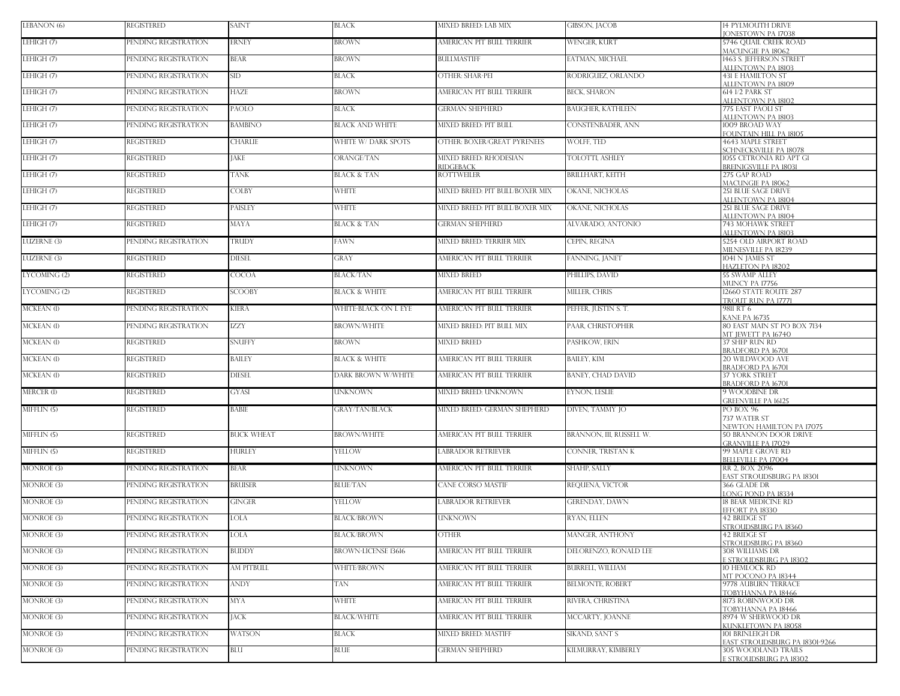| LEBANON (6)           | <b>REGISTERED</b>    | <b>SAINT</b>      | BLACK                      | MIXED BREED: LAB MIX                       | <b>GIBSON, JACOB</b>     | <b>14 PYLMOUTH DRIVE</b><br><b>IONESTOWN PA 17038</b>     |
|-----------------------|----------------------|-------------------|----------------------------|--------------------------------------------|--------------------------|-----------------------------------------------------------|
| LEHIGH (7)            | PENDING REGISTRATION | <b>ERNEY</b>      | BROWN                      | AMERICAN PIT BULL TERRIER                  | <b>WENGER, KURT</b>      | 5746 OUAIL CREEK ROAD<br>MACUNGIE PA 18062                |
| LEHIGH <sub>(7)</sub> | PENDING REGISTRATION | <b>BEAR</b>       | <b>BROWN</b>               | <b>BULLMASTIFF</b>                         | EATMAN, MICHAEL          | 1463 S. JEFFERSON STREET<br>ALLENTOWN PA 18103            |
| LEHIGH (7)            | PENDING REGISTRATION | <b>SID</b>        | BLACK                      | <b>OTHER: SHAR-PEI</b>                     | RODRIGUEZ, ORLANDO       | <b>431 E HAMILTON ST</b><br>ALLENTOWN PA 18109            |
| LEHIGH (7)            | PENDING REGISTRATION | <b>HAZE</b>       | <b>BROWN</b>               | AMERICAN PIT BULL TERRIER                  | <b>BECK, SHARON</b>      | 614 1/2 PARK ST<br>ALLENTOWN PA 18102                     |
| LEHIGH (7)            | PENDING REGISTRATION | PAOLO             | <b>BLACK</b>               | <b>GERMAN SHEPHERD</b>                     | <b>BAUGHER, KATHLEEN</b> | 775 EAST PAOLI ST<br>ALLENTOWN PA 18103                   |
| LEHIGH (7)            | PENDING REGISTRATION | <b>BAMBINO</b>    | <b>BLACK AND WHITE</b>     | MIXED BREED: PIT BULL                      | CONSTENBADER, ANN        | 1009 BROAD WAY<br>FOUNTAIN HILL PA 18105                  |
| LEHIGH (7)            | <b>REGISTERED</b>    | <b>CHARLIE</b>    | WHITE W/ DARK SPOTS        | OTHER: BOXER/GREAT PYRENEES                | WOLFF, TED               | 4643 MAPLE STREET<br>SCHNECKSVILLE PA 18078               |
| LEHIGH (7)            | <b>REGISTERED</b>    | <b>JAKE</b>       | ORANGE/TAN                 | <b>MIXED BREED: RHODESIAN</b><br>RIDGEBACK | TOLOTTI, ASHLEY          | 1055 CETRONIA RD APT GI<br><b>BREINIGSVILLE PA 18031</b>  |
| LEHIGH (7)            | <b>REGISTERED</b>    | <b>TANK</b>       | <b>BLACK &amp; TAN</b>     | <b>ROTTWEILER</b>                          | <b>BRILLHART, KEITH</b>  | 275 GAP ROAD<br>MACUNGIE PA 18062                         |
| LEHIGH (7)            | <b>REGISTERED</b>    | <b>COLBY</b>      | WHITE                      | MIXED BREED: PIT BULL/BOXER MIX            | OKANE, NICHOLAS          | <b>251 BLUE SAGE DRIVE</b><br>ALLENTOWN PA 18104          |
| LEHIGH (7)            | <b>REGISTERED</b>    | PAISLEY           | <b>WHITE</b>               | MIXED BREED: PIT BULL/BOXER MIX            | OKANE, NICHOLAS          | <b>251 BLUE SAGE DRIVE</b><br>ALLENTOWN PA 18104          |
| LEHIGH (7)            | <b>REGISTERED</b>    | <b>MAYA</b>       | <b>BLACK &amp; TAN</b>     | <b>GERMAN SHEPHERD</b>                     | ALVARADO, ANTONIO        | 743 MOHAWK STREET<br>ALLENTOWN PA 18103                   |
| <b>LUZERNE (3)</b>    | PENDING REGISTRATION | TRUDY             | FAWN                       | MIXED BREED: TERRIER MIX                   | CEPIN, REGINA            | 5254 OLD AIRPORT ROAD<br>MILNESVILLE PA 18239             |
| <b>LUZERNE (3)</b>    | <b>REGISTERED</b>    | <b>DIESEL</b>     | GRAY                       | AMERICAN PIT BULL TERRIER                  | FANNING, JANET           | 1041 N JAMES ST<br>HAZLETON PA 18202                      |
| LYCOMING (2)          | <b>REGISTERED</b>    | <b>COCOA</b>      | BLACK/TAN                  | <b>MIXED BREED</b>                         | PHILLIPS. DAVID          | <b>55 SWAMP ALLEY</b><br>MUNCY PA 17756                   |
| LYCOMING (2)          | <b>REGISTERED</b>    | <b>SCOOBY</b>     | <b>BLACK &amp; WHITE</b>   | AMERICAN PIT BULL TERRIER                  | MILLER, CHRIS            | 12660 STATE ROUTE 287<br>TROUT RUN PA 17771               |
| MCKEAN (1)            | PENDING REGISTRATION | <b>KIERA</b>      | WHITE-BLACK ON L EYE       | AMERICAN PIT BULL TERRIER                  | PEFFER, JUSTIN S. T.     | 9811 RT 6                                                 |
| MCKEAN (1)            | PENDING REGISTRATION | <b>IZZY</b>       | <b>BROWN/WHITE</b>         | MIXED BREED: PIT BULL MIX                  | PAAR, CHRISTOPHER        | KANE PA 16735<br>80 EAST MAIN ST PO BOX 7134              |
| MCKEAN (1)            | <b>REGISTERED</b>    | <b>SNUFFY</b>     | BROWN                      | <b>MIXED BREED</b>                         | PASHKOW, ERIN            | MT IEWETT PA 16740<br>37 SHEP RUN RD<br>BRADFORD PA 16701 |
| <b>MCKEAN</b> (1)     | <b>REGISTERED</b>    | <b>BAILEY</b>     | <b>BLACK &amp; WHITE</b>   | AMERICAN PIT BULL TERRIER                  | <b>BAILEY, KIM</b>       | 20 WILDWOOD AVE<br><b>BRADFORD PA 16701</b>               |
| MCKEAN (1)            | <b>REGISTERED</b>    | <b>DIESEL</b>     | DARK BROWN W/WHITE         | AMERICAN PIT BULL TERRIER                  | BANEY, CHAD DAVID        | <b>37 YORK STREET</b><br>BRADFORD PA 16701                |
| MERCER (1)            | REGISTERED           | <b>GYASI</b>      | UNKNOWN                    | MIXED BREED: UNKNOWN                       | <b>EYNON, LESLIE</b>     | 9 WOODBINE DR<br><b>GREENVILLE PA 16125</b>               |
| MIFFLIN (5)           | <b>REGISTERED</b>    | <b>BABIE</b>      | <b>GRAY/TAN/BLACK</b>      | MIXED BREED: GERMAN SHEPHERD               | DIVEN, TAMMY JO          | PO BOX 96                                                 |
|                       |                      |                   |                            |                                            |                          | 737 WATER ST<br>NEWTON HAMILTON PA 17075                  |
| MIFFLIN (5)           | <b>REGISTERED</b>    | <b>BUCK WHEAT</b> | <b>BROWN/WHITE</b>         | AMERICAN PIT BULL TERRIER                  | BRANNON, III, RUSSELL W. | <b>50 BRANNON DOOR DRIVE</b><br><b>GRANVILLE PA 17029</b> |
| MIFFLIN (5)           | <b>REGISTERED</b>    | <b>HURLEY</b>     | YELLOW                     | <b>LABRADOR RETRIEVER</b>                  | CONNER, TRISTAN K        | 99 MAPLE GROVE RD<br><b>BELLEVILLE PA 17004</b>           |
| MONROE(3)             | PENDING REGISTRATION | <b>BEAR</b>       | <b>UNKNOWN</b>             | AMERICAN PIT BULL TERRIER                  | <b>SHAHP, SALLY</b>      | RR 2. BOX 2096<br>EAST STROUDSBURG PA 18301               |
| MONROE (3)            | PENDING REGISTRATION | <b>BRUISER</b>    | <b>BLUE/TAN</b>            | CANE CORSO MASTIF                          | REOUENA, VICTOR          | 366 GLADE DR<br>ONG POND PA 18334                         |
| MONROE (3)            | PENDING REGISTRATION | <b>GINGER</b>     | YELLOW                     | <b>LABRADOR RETRIEVER</b>                  | <b>GERENDAY, DAWN</b>    | 18 BEAR MEDICINE RD<br>EFFORT PA 18330                    |
| <b>MONROE</b> (3)     | PENDING REGISTRATION | <b>LOLA</b>       | <b>BLACK/BROWN</b>         | <b>UNKNOWN</b>                             | RYAN, ELLEN              | 42 BRIDGE ST<br>STROUDSBURG PA 18360                      |
| <b>MONROE</b> (3)     | PENDING REGISTRATION | <b>LOLA</b>       | <b>BLACK/BROWN</b>         | <b>OTHER</b>                               | MANGER, ANTHONY          | 42 BRIDGE ST<br>STROUDSBURG PA 18360                      |
| <b>MONROE (3)</b>     | PENDING REGISTRATION | <b>BUDDY</b>      | <b>BROWN-LICENSE 13616</b> | AMERICAN PIT BULL TERRIER                  | DELORENZO, RONALD LEE    | 308 WILLIAMS DR<br>STROUDSBURG PA 18302                   |
| <b>MONROE (3)</b>     | PENDING REGISTRATION | <b>AM PITBULL</b> | WHITE/BROWN                | AMERICAN PIT BULL TERRIER                  | <b>BURRELL, WILLIAM</b>  | 10 HEMLOCK RD<br>MT POCONO PA 18344                       |
| <b>MONROE (3)</b>     | PENDING REGISTRATION | <b>ANDY</b>       | TAN                        | AMERICAN PIT BULL TERRIER                  | <b>BELMONTE, ROBERT</b>  | 9778 AUBURN TERRACE<br>TOBYHANNA PA 18466                 |
| MONROE (3)            | PENDING REGISTRATION | <b>MYA</b>        | WHITE                      | AMERICAN PIT BULL TERRIER                  | RIVERA. CHRISTINA        | 8173 ROBINWOOD DR<br>TOBYHANNA PA 18466                   |
| <b>MONROE</b> (3)     | PENDING REGISTRATION | <b>JACK</b>       | <b>BLACK/WHITE</b>         | AMERICAN PIT BULL TERRIER                  | MCCARTY, JOANNE          | 8974 W SHERWOOD DR<br>KUNKLETOWN PA 18058                 |
| <b>MONROE</b> (3)     | PENDING REGISTRATION | <b>WATSON</b>     | BLACK                      | <b>MIXED BREED: MASTIFF</b>                | SIKAND, SANT S           | 101 BRINLEIGH DR<br><b>EAST STROUDSBURG PA 18301-9266</b> |
| <b>MONROE (3)</b>     | PENDING REGISTRATION | BLU               | BLUE                       | <b>GERMAN SHEPHERD</b>                     | KILMURRAY, KIMBERLY      | <b>305 WOODLAND TRAILS</b><br><b>STROUDSBURG PA 18302</b> |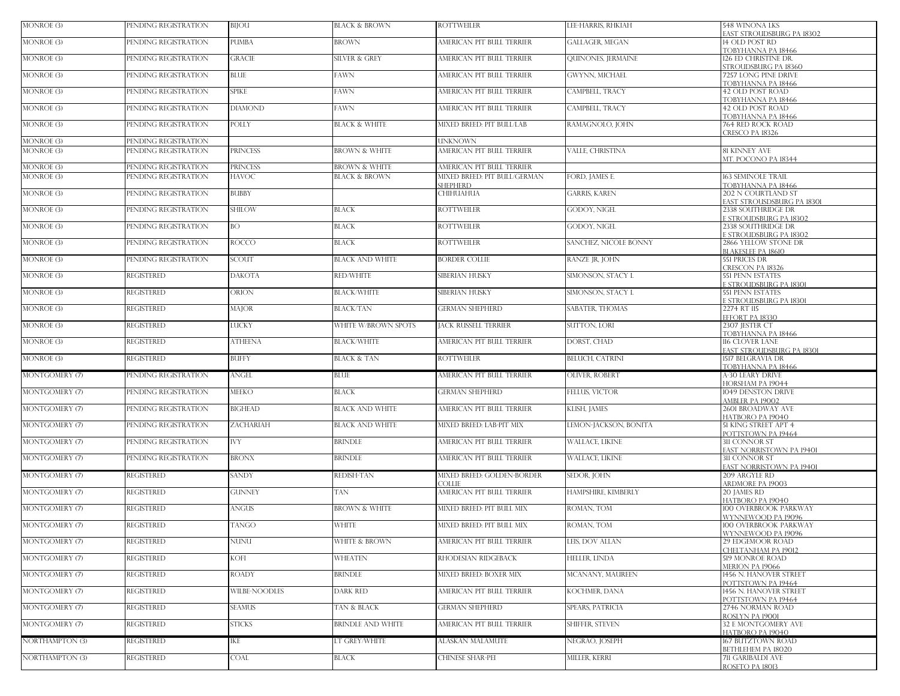| MONROE (3)                      | PENDING REGISTRATION                         | BIJOU                    | <b>BLACK &amp; BROWN</b>                             | <b>ROTTWEILER</b>                                         | LEE-HARRIS, RHKIAH      | 548 WINONA LKS<br>EAST STROUDSBURG PA 18302         |
|---------------------------------|----------------------------------------------|--------------------------|------------------------------------------------------|-----------------------------------------------------------|-------------------------|-----------------------------------------------------|
| <b>MONROE</b> (3)               | PENDING REGISTRATION                         | PUMBA                    | <b>BROWN</b>                                         | AMERICAN PIT BULL TERRIER                                 | <b>GALLAGER, MEGAN</b>  | 14 OLD POST RD<br>TOBYHANNA PA 18466                |
| MONROE (3)                      | PENDING REGISTRATION                         | <b>GRACIE</b>            | <b>SILVER &amp; GREY</b>                             | AMERICAN PIT BULL TERRIER                                 | QUINONES, JERMAINE      | 126 ED CHRISTINE DR.                                |
| MONROE (3)                      | PENDING REGISTRATION                         | <b>BLUE</b>              | <b>FAWN</b>                                          | AMERICAN PIT BULL TERRIER                                 | <b>GWYNN, MICHAEL</b>   | STROUDSBURG PA 18360<br><b>7257 LONG PINE DRIVE</b> |
| <b>MONROE</b> (3)               | PENDING REGISTRATION                         | <b>SPIKE</b>             | <b>FAWN</b>                                          | AMERICAN PIT BULL TERRIER                                 | CAMPBELL, TRACY         | TOBYHANNA PA 18466<br>42 OLD POST ROAD              |
| MONROE (3)                      | PENDING REGISTRATION                         | <b>DIAMOND</b>           | <b>FAWN</b>                                          | AMERICAN PIT BULL TERRIER                                 | CAMPBELL, TRACY         | TOBYHANNA PA 18466<br>42 OLD POST ROAD              |
| MONROE (3)                      | PENDING REGISTRATION                         | POLLY                    | <b>BLACK &amp; WHITE</b>                             | <b>MIXED BREED: PIT BULL/LAB</b>                          | RAMAGNOLO, JOHN         | TOBYHANNA PA 18466<br>764 RED ROCK ROAD             |
| <b>MONROE</b> (3)               | PENDING REGISTRATION                         |                          |                                                      | UNKNOWN                                                   |                         | CRESCO PA 18326                                     |
| <b>MONROE</b> (3)               | PENDING REGISTRATION                         | PRINCESS                 | <b>BROWN &amp; WHITE</b>                             | AMERICAN PIT BULL TERRIER                                 | <b>VALLE CHRISTINA</b>  | 81 KINNEY AVE                                       |
|                                 |                                              |                          |                                                      |                                                           |                         | MT POCONO PA 18344                                  |
| MONROE (3)<br><b>MONROE</b> (3) | PENDING REGISTRATION<br>PENDING REGISTRATION | PRINCESS<br><b>HAVOC</b> | <b>BROWN &amp; WHITE</b><br><b>BLACK &amp; BROWN</b> | AMERICAN PIT BULL TERRIER<br>MIXED BREED: PIT BULL/GERMAN | FORD, JAMES E.          | <b>163 SEMINOLE TRAIL</b>                           |
|                                 |                                              |                          |                                                      | <b>SHEPHERD</b>                                           |                         | TOBYHANNA PA 18466                                  |
| MONROE (3)                      | PENDING REGISTRATION                         | <b>BUBBY</b>             |                                                      | CHIHUAHUA                                                 | <b>GARRIS, KAREN</b>    | 202 N COURTLAND ST<br>EAST STROUSDSBURG PA 18301    |
| MONROE (3)                      | PENDING REGISTRATION                         | <b>SHILOW</b>            | <b>BLACK</b>                                         | <b>ROTTWEILER</b>                                         | GODOY, NIGEL            | 2338 SOUTHRIDGE DR<br><b>STROUDSBURG PA 18302</b>   |
| <b>MONROE</b> (3)               | PENDING REGISTRATION                         | BO.                      | <b>BLACK</b>                                         | <b>ROTTWEILER</b>                                         | <b>GODOY, NIGEL</b>     | 2338 SOUTHRIDGE DR<br><b>STROUDSBURG PA 18302</b>   |
| MONROE (3)                      | PENDING REGISTRATION                         | <b>ROCCO</b>             | <b>BLACK</b>                                         | <b>ROTTWEILER</b>                                         | SANCHEZ, NICOLE BONNY   | 2866 YELLOW STONE DR                                |
| <b>MONROE</b> (3)               | PENDING REGISTRATION                         | <b>SCOUT</b>             | <b>BLACK AND WHITE</b>                               | <b>BORDER COLLIE</b>                                      | RANZE JR, JOHN          | <b>BLAKESLEE PA 1861O</b><br>551 PRICES DR          |
| MONROE (3)                      | <b>REGISTERED</b>                            | <b>DAKOTA</b>            | RED/WHITE                                            | SIBERIAN HUSKY                                            | SIMONSON, STACY L       | CRESCON PA 18326<br><b>551 PENN ESTATES</b>         |
| <b>MONROE</b> (3)               | <b>REGISTERED</b>                            | ORION                    | <b>BLACK/WHITE</b>                                   | SIBERIAN HUSKY                                            | SIMONSON, STACY L       | E STROUDSBURG PA 18301<br><b>551 PENN ESTATES</b>   |
| <b>MONROE</b> (3)               | REGISTERED                                   | MAJOR                    | <b>BLACK/TAN</b>                                     | <b>GERMAN SHEPHERD</b>                                    | SABATER, THOMAS         | <b>STROUDSBURG PA 18301</b><br>2274 RT 115          |
| MONROE (3)                      | <b>REGISTERED</b>                            | LUCKY                    | WHITE W/BROWN SPOTS                                  | <b>JACK RUSSELL TERRIER</b>                               | <b>SUTTON, LORI</b>     | EFFORT PA 18330<br>2307 JESTER CT                   |
| <b>MONROE</b> (3)               | <b>REGISTERED</b>                            | ATHEENA                  | <b>BLACK/WHITE</b>                                   | AMERICAN PIT BULL TERRIER                                 | DORST, CHAD             | TOBYHANNA PA 18466<br>116 CLOVER LANE               |
|                                 |                                              |                          |                                                      |                                                           |                         | EAST STROUDSBURG PA 18301                           |
| <b>MONROE</b> (3)               | <b>REGISTERED</b>                            | <b>BUFFY</b>             | <b>BLACK &amp; TAN</b>                               | <b>ROTTWEILER</b>                                         | <b>BELUCH, CATRINI</b>  | 1517 BELGRAVIA DR<br>TOBYHANNA PA 18466             |
| MONTGOMERY (7)                  | PENDING REGISTRATION                         | ANGEL                    | <b>BLUE</b>                                          | AMERICAN PIT BULL TERRIER                                 | OLIVER, ROBERT          | A-30 LEARY DRIVE<br>HORSHAM PA 19044                |
| MONTGOMERY (7)                  | PENDING REGISTRATION                         | <b>MEEKO</b>             | <b>BLACK</b>                                         | <b>GERMAN SHEPHERD</b>                                    | FELLUS, VICTOR          | 1049 DENSTON DRIVE<br>AMBLER PA 19002               |
| MONTGOMERY (7)                  | PENDING REGISTRATION                         | <b>BIGHEAD</b>           | <b>BLACK AND WHITE</b>                               | AMERICAN PIT BULL TERRIER                                 | KLISH, JAMES            | 2601 BROADWAY AVE<br>HATBORO PA 19040               |
| MONTGOMERY (7)                  | PENDING REGISTRATION                         | ZACHARIAH                | <b>BLACK AND WHITE</b>                               | MIXED BREED: LAB-PIT MIX                                  | LEMON-JACKSON, BONITA   | 51 KING STREET APT 4<br>POTTSTOWN PA 19464          |
| MONTGOMERY (7)                  | PENDING REGISTRATION                         | <b>IVY</b>               | <b>BRINDLE</b>                                       | AMERICAN PIT BULL TERRIER                                 | <b>WALLACE, LIKINE</b>  | <b>311 CONNOR ST</b><br>EAST NORRISTOWN PA 19401    |
| MONTGOMERY (7)                  | PENDING REGISTRATION                         | <b>BRONX</b>             | <b>BRINDLE</b>                                       | AMERICAN PIT BULL TERRIER                                 | <b>WALLACE, LIKINE</b>  | 311 CONNOR ST<br>EAST NORRISTOWN PA 19401           |
| MONTGOMERY (7)                  | <b>REGISTERED</b>                            | SANDY                    | <b>REDISH-TAN</b>                                    | MIXED BREED: GOLDEN-BORDER<br><b>OLLIE</b>                | <b>SEDOR JOHN</b>       | 209 ARGYLE RD<br><b>ARDMORE PA 19003</b>            |
| MONTGOMERY (7)                  | <b>REGISTERED</b>                            | <b>GUNNEY</b>            | <b>TAN</b>                                           | AMERICAN PIT BULL TERRIER                                 | HAMPSHIRE, KIMBERLY     | 20 JAMES RD                                         |
| MONTGOMERY (7)                  | <b>REGISTERED</b>                            | ANGUS                    | <b>BROWN &amp; WHITE</b>                             | MIXED BREED: PIT BULL MIX                                 | ROMAN, TOM              | HATBORO PA 19040<br>100 OVERBROOK PARKWAY           |
| MONTGOMERY (7)                  | <b>REGISTERED</b>                            | <b>TANGO</b>             | <b>WHITE</b>                                         | MIXED BREED: PIT BULL MIX                                 | ROMAN, TOM              | WYNNEWOOD PA 19096<br>100 OVERBROOK PARKWAY         |
| MONTGOMERY (7)                  | <b>REGISTERED</b>                            | NUNU                     | <b>WHITE &amp; BROWN</b>                             | AMERICAN PIT BULL TERRIER                                 | LEIS, DOV ALLAN         | WYNNEWOOD PA 19096<br>29 EDGEMOOR ROAD              |
| MONTGOMERY (7)                  | <b>REGISTERED</b>                            | KOFI                     | <b>WHEATEN</b>                                       | RHODESIAN RIDGEBACK                                       | HELLER, LINDA           | CHELTANHAM PA 19012<br>519 MONROE ROAD              |
| MONTGOMERY (7)                  | REGISTERED                                   | <b>ROADY</b>             | <b>BRINDLE</b>                                       | MIXED BREED: BOXER MIX                                    | MCANANY, MAUREEN        | <b>MERION PA 19066</b><br>1456 N. HANOVER STREET    |
| MONTGOMERY (7)                  | <b>REGISTERED</b>                            | WILBE-NOODLES            | <b>DARK RED</b>                                      | AMERICAN PIT BULL TERRIER                                 | KOCHMER, DANA           | POTTSTOWN PA 19464<br>1456 N HANOVER STREET         |
| MONTGOMERY (7)                  | REGISTERED                                   | <b>SEAMUS</b>            | TAN & BLACK                                          | <b>GERMAN SHEPHERD</b>                                    | <b>SPEARS, PATRICIA</b> | POTTSTOWN PA 19464<br>2746 NORMAN ROAD              |
| MONTGOMERY (7)                  | <b>REGISTERED</b>                            | <b>STICKS</b>            | <b>BRINDLE AND WHITE</b>                             | AMERICAN PIT BULL TERRIER                                 | SHIFFER, STEVEN         | ROSLYN PA 19001<br>32 E MONTGOMERY AVE              |
| NORTHAMPTON (3)                 | REGISTERED                                   | IKE                      | LT GREY/WHITE                                        | ALASKAN MALAMUTE                                          | NEGRAO, JOSEPH          | HATBORO PA 19040<br>167 BUTZTOWN ROAD               |
|                                 |                                              |                          |                                                      |                                                           |                         | BETHLEHEM PA 18020                                  |
| NORTHAMPTON (3)                 | <b>REGISTERED</b>                            | COAL                     | <b>BLACK</b>                                         | CHINESE SHAR-PEI                                          | MILLER, KERRI           | 711 GARIBALDI AVE<br>ROSETO PA 18013                |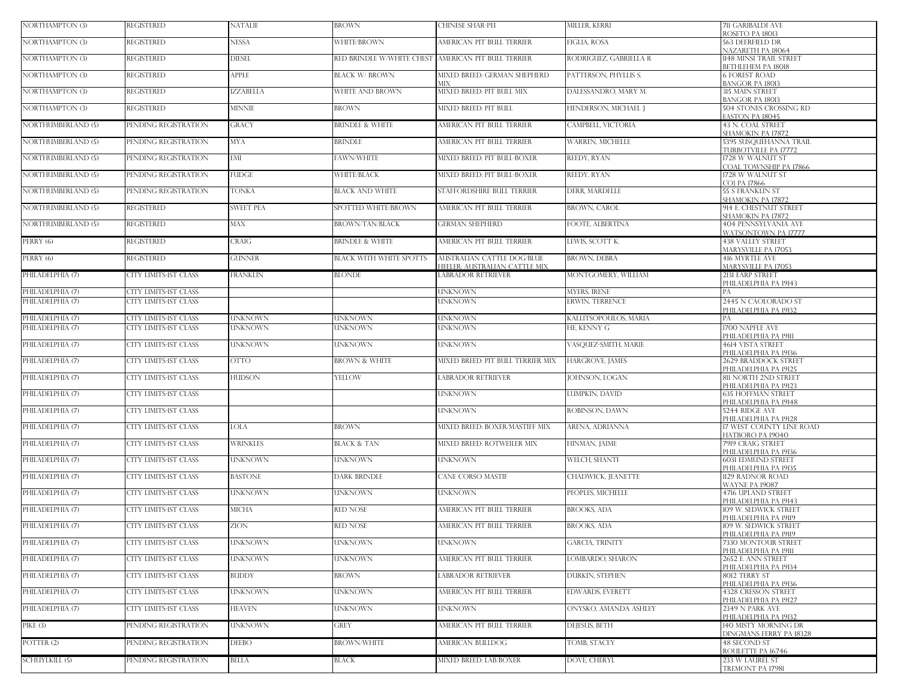| <b>NORTHAMPTON (3)</b>    | <b>REGISTERED</b>            | <b>NATALIE</b>   | <b>BROWN</b>                                        | CHINESE SHAR-PEI                                   | MILLER, KERRI           | <b>711 GARIBALDI AVE</b><br>ROSETO PA 18013            |
|---------------------------|------------------------------|------------------|-----------------------------------------------------|----------------------------------------------------|-------------------------|--------------------------------------------------------|
| <b>NORTHAMPTON (3)</b>    | REGISTERED                   | <b>NESSA</b>     | WHITE/BROWN                                         | AMERICAN PIT BULL TERRIER                          | FIGLIA, ROSA            | 563 DEERFIELD DR<br>NAZARETH PA 18064                  |
| NORTHAMPTON (3)           | <b>REGISTERED</b>            | <b>DIESEL</b>    | RED BRINDLE W/WHITE CHEST AMERICAN PIT BULL TERRIER |                                                    | RODRIGUEZ, GABRIELLA R  | 1148 MINSI TRAIL STREET                                |
| NORTHAMPTON (3)           | <b>REGISTERED</b>            | APPLE            | <b>BLACK W/ BROWN</b>                               | MIXED BREED: GERMAN SHEPHERD                       | PATTERSON, PHYLLIS S.   | BETHLEHEM PA 18018<br><b>6 FOREST ROAD</b>             |
| <b>NORTHAMPTON (3)</b>    | <b>REGISTERED</b>            | <b>ZZABELLA</b>  | WHITE AND BROWN                                     | ИIХ<br>MIXED BREED: PIT BULL MIX                   | DALESSANDRO, MARY M.    | BANGOR PA 18013<br><b>315 MAIN STREET</b>              |
| NORTHAMPTON (3)           | <b>REGISTERED</b>            | MINNIE           | <b>BROWN</b>                                        | MIXED BREED: PIT BULL                              | HENDERSON, MICHAEL J    | BANGOR PA 18013<br>504 STONES CROSSING RD              |
| NORTHUMBERLAND (5)        | PENDING REGISTRATION         | GRACY            | <b>BRINDLE &amp; WHITE</b>                          | AMERICAN PIT BULL TERRIER                          | CAMPBELL, VICTORIA      | ASTON PA 18045<br>43 N. COAL STREET                    |
| <b>NORTHUMBERLAND (5)</b> | PENDING REGISTRATION         | <b>MYA</b>       | <b>BRINDLE</b>                                      | AMERICAN PIT BULL TERRIER                          | WARREN, MICHELLE        | SHAMOKIN PA 17872<br>5395 SUSQUEHANNA TRAIL            |
| <b>NORTHUMBERLAND (5)</b> | PENDING REGISTRATION         | EMI              | FAWN/WHITE                                          | MIXED BREED: PIT BULL-BOXER                        | REEDY, RYAN             | <b>TURBOTVILLE PA 17772</b><br>1728 W WALNUT ST        |
| <b>NORTHUMBERLAND (5)</b> |                              | <b>FUDGE</b>     | WHITE/BLACK                                         |                                                    | REEDY, RYAN             | COAL TOWNSHIP PA 17866                                 |
|                           | PENDING REGISTRATION         |                  |                                                     | MIXED BREED: PIT BULL-BOXER                        |                         | 1728 W WALNUT ST<br>CO] PA 17866                       |
| <b>NORTHUMBERLAND (5)</b> | PENDING REGISTRATION         | <b>TONKA</b>     | <b>BLACK AND WHITE</b>                              | STAFFORDSHIRE BULL TERRIER                         | DERR, MARDELLE          | <b>55 S FRANKLIN ST</b><br>SHAMOKIN PA 17872           |
| NORTHUMBERLAND (5)        | <b>REGISTERED</b>            | <b>SWEET PEA</b> | SPOTTED WHITE/BROWN                                 | AMERICAN PIT BULL TERRIER                          | <b>BROWN, CAROL</b>     | 914 E. CHESTNUT STREET<br><b>SHAMOKIN PA 17872</b>     |
| NORTHUMBERLAND (5)        | <b>REGISTERED</b>            | <b>MAX</b>       | <b>BROWN/TAN/BLACK</b>                              | <b>GERMAN SHEPHERD</b>                             | FOOTE, ALBERTINA        | 404 PENNSYLVANIA AVE<br>WATSONTOWN PA 17777            |
| PERRY (6)                 | <b>REGISTERED</b>            | CRAIG            | <b>BRINDLE &amp; WHITE</b>                          | AMERICAN PIT BULL TERRIER                          | LEWIS, SCOTT K.         | <b>438 VALLEY STREET</b><br><b>MARYSVILLE PA 17053</b> |
| PERRY (6)                 | <b>REGISTERED</b>            | <b>GUNNER</b>    | <b>BLACK WITH WHITE SPOTTS</b>                      | AUSTRALIAN CATTLE DOG/BLUE                         | <b>BROWN, DEBRA</b>     | 416 MYRTLE AVE<br><b>MARYSVILLE PA 17053</b>           |
| PHILADELPHIA (7)          | CITY LIMITS-IST CLASS        | FRANKLIN         | <b>BLONDE</b>                                       | HEELER: AUSTRALIAN CATTLE MIX<br>ABRADOR RETRIEVER | MONTGOMERY, WILLIAM     | 2131 EARP STREET                                       |
| PHILADELPHIA (7)          | CITY LIMITS-IST CLASS        |                  |                                                     | UNKNOWN                                            | MYERS, IRENE            | PHILADELPHIA PA 19143<br>PА                            |
| PHILADELPHIA (7)          | CITY LIMITS-IST CLASS        |                  |                                                     | UNKNOWN                                            | <b>ERWIN, TERRENCE</b>  | 2445 N CAOLORADO ST<br>PHILADELPHIA PA 19132           |
| PHILADELPHIA (7)          | CITY LIMITS-IST CLASS        | <b>UNKNOWN</b>   | <b>UNKNOWN</b>                                      | UNKNOWN                                            | KALLITSOPOULOS, MARIA   |                                                        |
| PHILADELPHIA (7)          | CITY LIMITS-IST CLASS        | <b>INKNOWN</b>   | UNKNOWN                                             | <b>JNKNOWN</b>                                     | HE. KENNY G             | 1700 NAPFLE AVE<br>РНІLАDЕLРНІА РА 19111               |
| PHILADELPHIA (7)          | CITY LIMITS-1ST CLASS        | <b>UNKNOWN</b>   | <b>UNKNOWN</b>                                      | UNKNOWN                                            | VASQUEZ-SMITH, MARIE    | <b>4614 VISTA STREET</b><br>PHILADELPHIA PA 19136      |
| PHILADELPHIA (7)          | CITY LIMITS-IST CLASS        | <b>OTTO</b>      | <b>BROWN &amp; WHITE</b>                            | MIXED BREED: PIT BULL TERRIER MIX                  | <b>HARGROVE, JAMES</b>  | 2629 BRADDOCK STREET<br>PHILADELPHIA PA 19125          |
| PHILADELPHIA (7)          | CITY LIMITS-IST CLASS        | <b>HUDSON</b>    | YELLOW                                              | <b>ABRADOR RETRIEVER</b>                           | JOHNSON, LOGAN          | 811 NORTH 2ND STREET<br>PHILADELPHIA PA 19123          |
| PHILADELPHIA (7)          | CITY LIMITS-IST CLASS        |                  |                                                     | UNKNOWN                                            | LUMPKIN, DAVID          | <b>635 HOFFMAN STREET</b><br>PHILADELPHIA PA 19148     |
| PHILADELPHIA (7)          | CITY LIMITS-IST CLASS        |                  |                                                     | UNKNOWN                                            | ROBINSON, DAWN          | 5244 RIDGE AVE<br>PHILADELPHIA PA 19128                |
| PHILADELPHIA (7)          | CITY LIMITS-IST CLASS        | LOLA             | <b>BROWN</b>                                        | MIXED BREED: BOXER/MASTIFF MIX                     | ARENA, ADRIANNA         | 17 WEST COUNTY LINE ROAD                               |
| PHILADELPHIA (7)          | CITY LIMITS-1ST CLASS        | <b>WRINKLES</b>  | <b>BLACK &amp; TAN</b>                              | MIXED BREED: ROTWEILER MIX                         | HINMAN, JAIME           | HATBORO PA 19040<br>7919 CRAIG STREET                  |
| PHILADELPHIA (7)          | <b>CITY LIMITS-IST CLASS</b> | <b>UNKNOWN</b>   | <b>UNKNOWN</b>                                      | UNKNOWN                                            | WELCH, SHANTI           | PHILADELPHIA PA 19136<br><b>6031 EDMUND STREET</b>     |
| PHILADELPHIA (7)          | CITY LIMITS-IST CLASS        | BASTONE          | <b>DARK BRINDLE</b>                                 | CANE CORSO MASTIF                                  | CHADWICK, JEANETTE      | PHILADELPHIA PA 19135<br>1129 RADNOR ROAD              |
| PHILADELPHIA (7)          | CITY LIMITS-IST CLASS        | <b>UNKNOWN</b>   | <b>UNKNOWN</b>                                      | UNKNOWN                                            | PEOPLES, MICHELLE       | WAYNE PA 19087<br>4716 UPLAND STREET                   |
| PHILADELPHIA (7)          | CITY LIMITS-IST CLASS        | <b>MICHA</b>     | <b>RED NOSE</b>                                     | AMERICAN PIT BULL TERRIER                          | BROOKS, ADA             | PHILADELPHIA PA 19143<br>109 W. SEDWICK STREET         |
| PHILADELPHIA (7)          | CITY LIMITS-IST CLASS        | <b>ZION</b>      | <b>RED NOSE</b>                                     | AMERICAN PIT BULL TERRIER                          | <b>BROOKS, ADA</b>      | PHILADELPHIA PA 19119<br>109 W. SEDWICK STREET         |
|                           |                              |                  |                                                     |                                                    |                         | PHILADELPHIA PA 19119                                  |
| PHILADELPHIA (7)          | CITY LIMITS-IST CLASS        | <b>UNKNOWN</b>   | <b>UNKNOWN</b>                                      | UNKNOWN                                            | <b>GARCIA, TRINITY</b>  | 7330 MONTOUR STREET<br><b>РНІLADELPHIA РА 19111</b>    |
| PHILADELPHIA (7)          | CITY LIMITS-IST CLASS        | <b>UNKNOWN</b>   | <b>UNKNOWN</b>                                      | AMERICAN PIT BULL TERRIER                          | LOMBARDO, SHARON        | 2652 E. ANN STREET<br>PHILADELPHIA PA 19134            |
| PHILADELPHIA (7)          | CITY LIMITS-IST CLASS        | <b>BUDDY</b>     | <b>BROWN</b>                                        | LABRADOR RETRIEVER                                 | DURKIN, STEPHEN         | 8012 TERRY ST<br>PHILADELPHIA PA 19136                 |
| PHILADELPHIA (7)          | CITY LIMITS-IST CLASS        | <b>UNKNOWN</b>   | <b>UNKNOWN</b>                                      | AMERICAN PIT BULL TERRIER                          | <b>EDWARDS, EVERETT</b> | 4328 CRESSON STREET<br>PHILADELPHIA PA 19127           |
| PHILADELPHIA (7)          | CITY LIMITS-IST CLASS        | <b>HEAVEN</b>    | UNKNOWN                                             | UNKNOWN                                            | ONYSKO, AMANDA ASHLEY   | 2349 N PARK AVE<br>PHILADELPHIA PA 19132.              |
| PIKE (3)                  | PENDING REGISTRATION         | <b>UNKNOWN</b>   | <b>GREY</b>                                         | AMERICAN PIT BULL TERRIER                          | DEJESUS, BETH           | 140 MISTY MORNING DR                                   |
| POTTER (2)                | PENDING REGISTRATION         | <b>DEEBO</b>     | <b>BROWN/WHITE</b>                                  | AMERICAN BULLDOG                                   | <b>TOMB, STACEY</b>     | DINGMANS FERRY PA 18328<br>48 SECOND ST                |
| <b>SCHUYLKILL (5)</b>     | PENDING REGISTRATION         | BELLA            | <b>BLACK</b>                                        | MIXED BREED: LAB/BOXER                             | DOVE, CHERYL            | ROULETTE PA 16746<br>233 W LAUREL ST                   |
|                           |                              |                  |                                                     |                                                    |                         | TREMONT PA 17981                                       |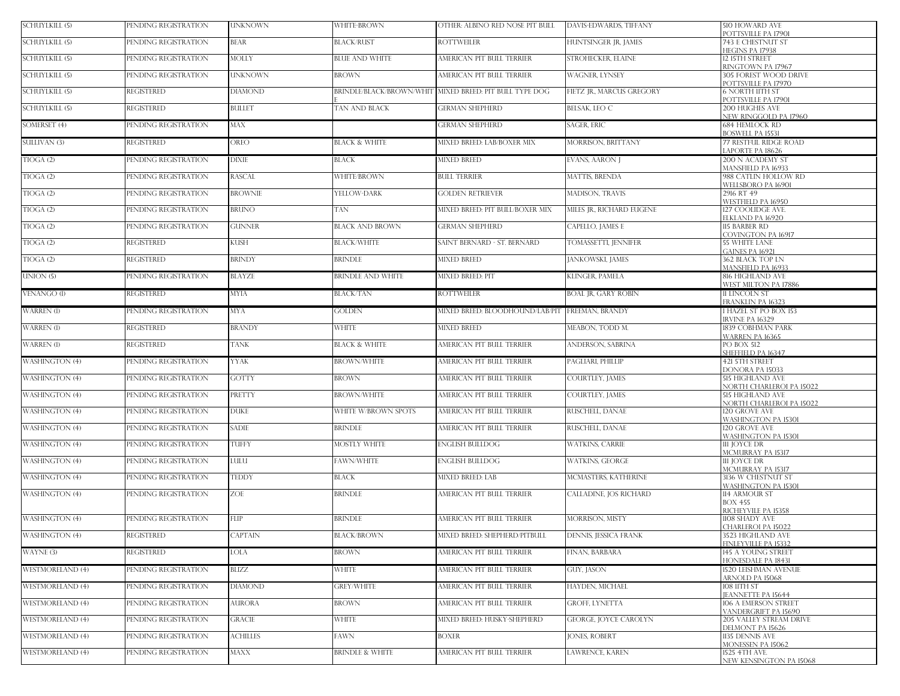| SCHUYLKILL (5)          | PENDING REGISTRATION | <b>UNKNOWN</b> | WHITE-BROWN                | OTHER: ALBINO RED NOSE PIT BULL | <b>DAVIS-EDWARDS. TIFFANY</b> | <b>510 HOWARD AVE</b><br>POTTSVILLE PA 17901                         |
|-------------------------|----------------------|----------------|----------------------------|---------------------------------|-------------------------------|----------------------------------------------------------------------|
| SCHUYLKILL (5)          | PENDING REGISTRATION | <b>BEAR</b>    | <b>BLACK/RUST</b>          | <b>ROTTWEILER</b>               | HUNTSINGER IR. IAMES          | 743 E CHESTNUT ST<br>HEGINS PA 17938                                 |
| SCHUYLKILL (5)          | PENDING REGISTRATION | <b>MOLLY</b>   | <b>BLUE AND WHITE</b>      | AMERICAN PIT BULL TERRIER       | STROHECKER, ELAINE            | 12 ISTH STREET<br>RINGTOWN PA 17967                                  |
| SCHUYLKILL (5)          | PENDING REGISTRATION | <b>UNKNOWN</b> | <b>BROWN</b>               | AMERICAN PIT BULL TERRIER       | WAGNER, LYNSEY                | 305 FOREST WOOD DRIVE                                                |
| <b>SCHUYLKILL (5)</b>   | <b>REGISTERED</b>    | <b>DIAMOND</b> | BRINDLE/BLACK/BROWN/WHIT   | MIXED BREED: PIT BULL TYPE DOG  | FIETZ JR., MARCUS GREGORY     | POTTSVILLE PA 17970<br><b>6 NORTH IITH ST</b><br>POTTSVILLE PA 17901 |
| SCHUYLKILL (5)          | <b>REGISTERED</b>    | <b>BULLET</b>  | TAN AND BLACK              | <b>GERMAN SHEPHERD</b>          | <b>BELSAK, LEO C</b>          | <b>200 HUGHES AVE</b><br>NEW RINGGOLD PA 17960                       |
| SOMERSET (4)            | PENDING REGISTRATION | MAX            |                            | <b>GERMAN SHEPHERD</b>          | SAGER, ERIC                   | <b>684 HEMLOCK RD</b><br><b>BOSWELL PA 15531</b>                     |
| <b>SULLIVAN (3)</b>     | <b>REGISTERED</b>    | <b>OREO</b>    | <b>BLACK &amp; WHITE</b>   | MIXED BREED: LAB/BOXER MIX      | <b>MORRISON, BRITTANY</b>     | <b>77 RESTFUL RIDGE ROAD</b><br>LAPORTE PA 18626                     |
| TIOGA(2)                | PENDING REGISTRATION | <b>DIXIE</b>   | BLACK                      | <b>MIXED BREED</b>              | <b>EVANS, AARON J</b>         | 200 N ACADEMY ST<br>MANSFIELD PA 16933                               |
| TIOGA(2)                | PENDING REGISTRATION | <b>RASCAL</b>  | WHITE/BROWN                | <b>BULL TERRIER</b>             | <b>MATTIS, BRENDA</b>         | 988 CATLIN HOLLOW RD<br>WELLSBORO PA 16901                           |
| TIOGA(2)                | PENDING REGISTRATION | <b>BROWNIE</b> | YELLOW-DARK                | <b>GOLDEN RETRIEVER</b>         | MADISON, TRAVIS               | 2916 RT 49<br>WESTFIELD PA 16950                                     |
| TIOGA(2)                | PENDING REGISTRATION | <b>BRUNO</b>   | TAN                        | MIXED BREED: PIT BULL/BOXER MIX | MILES JR., RICHARD EUGENE     | 127 COOLIDGE AVE<br>ELKLAND PA 16920                                 |
| TIOGA(2)                | PENDING REGISTRATION | <b>GUNNER</b>  | <b>BLACK AND BROWN</b>     | <b>GERMAN SHEPHERD</b>          | CAPELLO, JAMES E              | 115 BARBER RD<br>COVINGTON PA 16917                                  |
| TIOGA(2)                | <b>REGISTERED</b>    | KUSH           | <b>BLACK/WHITE</b>         | SAINT BERNARD - ST. BERNARD     | TOMASSETTI, JENNIFER          | <b>55 WHITE LANE</b><br><b>GAINES PA 16921</b>                       |
| TIOGA(2)                | <b>REGISTERED</b>    | <b>BRINDY</b>  | <b>BRINDLE</b>             | <b>MIXED BREED</b>              | JANKOWSKI, JAMES              | 362 BLACK TOP LN<br><b>MANSFIELD PA 16933</b>                        |
| UNION (5)               | PENDING REGISTRATION | <b>BLAYZE</b>  | <b>BRINDLE AND WHITE</b>   | <b>MIXED BREED: PIT</b>         | KLINGER, PAMELA               | 816 HIGHLAND AVE<br>WEST MILTON PA 17886                             |
| VENANGO (1)             | <b>REGISTERED</b>    | <b>MYIA</b>    | BLACK/TAN                  | <b>ROTTWEILER</b>               | <b>BOAL JR, GARY ROBIN</b>    | 11 LINCOLN ST<br>FRANKLIN PA 16323                                   |
| WARREN (I)              | PENDING REGISTRATION | <b>MYA</b>     | GOLDEN                     | MIXED BREED: BLOODHOUND/LAB/PIT | FREEMAN, BRANDY               | 1 HAZEL ST PO BOX 153<br>IRVINE PA 16329                             |
| WARREN (1)              | <b>REGISTERED</b>    | <b>BRANDY</b>  | <b>WHITE</b>               | <b>MIXED BREED</b>              | MEABON, TODD M.               | 1839 COBHMAN PARK<br><b>WARREN PA 16365</b>                          |
| WARREN (I)              | <b>REGISTERED</b>    | <b>TANK</b>    | <b>BLACK &amp; WHITE</b>   | AMERICAN PIT BULL TERRIER       | ANDERSON, SABRINA             | <b>PO BOX 512</b><br>SHEFFIELD PA 16347                              |
| WASHINGTON (4)          | PENDING REGISTRATION | <b>YYAK</b>    | <b>BROWN/WHITE</b>         | AMERICAN PIT BULL TERRIER       | PAGLIARI, PHILLIP             | 421 5TH STREET<br>DONORA PA 15033                                    |
| <b>WASHINGTON (4)</b>   | PENDING REGISTRATION | <b>GOTTY</b>   | BROWN                      | AMERICAN PIT BULL TERRIER       | COURTLEY, JAMES               | <b>515 HIGHLAND AVE</b><br>NORTH CHARLEROI PA 15022                  |
| <b>WASHINGTON (4)</b>   | PENDING REGISTRATION | PRETTY         | <b>BROWN/WHITE</b>         | AMERICAN PIT BULL TERRIER       | <b>COURTLEY, JAMES</b>        | <b>515 HIGHLAND AVE</b><br>NORTH CHARLEROI PA 15022                  |
| <b>WASHINGTON (4)</b>   | PENDING REGISTRATION | <b>DUKE</b>    | WHITE W/BROWN SPOTS        | AMERICAN PIT BULL TERRIER       | RUSCHELL, DANAE               | 120 GROVE AVE<br>WASHINGTON PA 15301                                 |
| <b>WASHINGTON (4)</b>   | PENDING REGISTRATION | <b>SADIE</b>   | <b>BRINDLE</b>             | AMERICAN PIT BULL TERRIER       | RUSCHELL, DANAE               | <b>120 GROVE AVE</b><br>WASHINGTON PA 15301                          |
| <b>WASHINGTON (4)</b>   | PENDING REGISTRATION | TUFFY          | <b>MOSTLY WHITE</b>        | <b>ENGLISH BULLDOG</b>          | <b>WATKINS, CARRIE</b>        | <b>111 JOYCE DR</b><br>MCMURRAY PA 15317                             |
| <b>WASHINGTON (4)</b>   | PENDING REGISTRATION | <b>LULU</b>    | FAWN/WHITE                 | <b>ENGLISH BULLDOG</b>          | WATKINS, GEORGE               | <b>111 IOYCE DR</b><br>MCMURRAY PA 15317                             |
| <b>WASHINGTON (4)</b>   | PENDING REGISTRATION | <b>TEDDY</b>   | BLACK                      | MIXED BREED: LAB                | <b>MCMASTERS, KATHERINE</b>   | 3136 W CHESTNUT ST<br>WASHINGTON PA 15301                            |
| <b>WASHINGTON (4)</b>   | PENDING REGISTRATION | ZOE            | BRINDLE                    | AMERICAN PIT BULL TERRIER       | CALLADINE, JOS RICHARD        | 114 ARMOUR ST<br><b>BOX 455</b>                                      |
| <b>WASHINGTON (4)</b>   | PENDING REGISTRATION | <b>FLIP</b>    | BRINDLE                    | AMERICAN PIT BULL TERRIER       | <b>MORRISON, MISTY</b>        | RICHEYVILE PA 15358<br>1108 SHADY AVE                                |
| <b>WASHINGTON (4)</b>   | <b>REGISTERED</b>    | <b>CAPTAIN</b> | <b>BLACK/BROWN</b>         | MIXED BREED: SHEPHERD/PITBULL   | DENNIS, JESSICA FRANK         | CHARLEROI PA 15022<br>3523 HIGHLAND AVE                              |
| WAYNE (3)               | REGISTERED           | LOLA           | BROWN                      | AMERICAN PIT BULL TERRIER       | FINAN, BARBARA                | FINLEYVILLE PA 15332<br>145 A YOUNG STREET<br>HONESDALE PA 18431     |
| <b>WESTMORELAND (4)</b> | PENDING REGISTRATION | <b>BLIZZ</b>   | <b>WHITE</b>               | AMERICAN PIT BULL TERRIER       | GUY, JASON                    | 1520 LEISHMAN AVENUE                                                 |
| <b>WESTMORELAND (4)</b> | PENDING REGISTRATION | <b>DIAMOND</b> | <b>GREY/WHITE</b>          | AMERICAN PIT BULL TERRIER       | HAYDEN, MICHAEL               | ARNOLD PA 15068<br><b>108 11TH ST</b>                                |
| <b>WESTMORELAND (4)</b> | PENDING REGISTRATION | <b>AURORA</b>  | <b>BROWN</b>               | AMERICAN PIT BULL TERRIER       | <b>GROFF, LYNETTA</b>         | JEANNETTE PA 15644<br>106 A EMERSON STREET                           |
| <b>WESTMORELAND (4)</b> | PENDING REGISTRATION | <b>GRACIE</b>  | <b>WHITE</b>               | MIXED BREED: HUSKY-SHEPHERD     | <b>GEORGE, JOYCE CAROLYN</b>  | VANDERGRIFT PA 15690<br>205 VALLEY STREAM DRIVE                      |
| <b>WESTMORELAND (4)</b> | PENDING REGISTRATION | ACHILLES       | FAWN                       | <b>BOXER</b>                    | <b>JONES, ROBERT</b>          | DELMONT PA 15626<br>1135 DENNIS AVE                                  |
| <b>WESTMORELAND (4)</b> | PENDING REGISTRATION | <b>MAXX</b>    | <b>BRINDLE &amp; WHITE</b> | AMERICAN PIT BULL TERRIER       | LAWRENCE, KAREN               | MONESSEN PA 15062<br>1525 4TH AVE                                    |
|                         |                      |                |                            |                                 |                               | NEW KENSINGTON PA 15068                                              |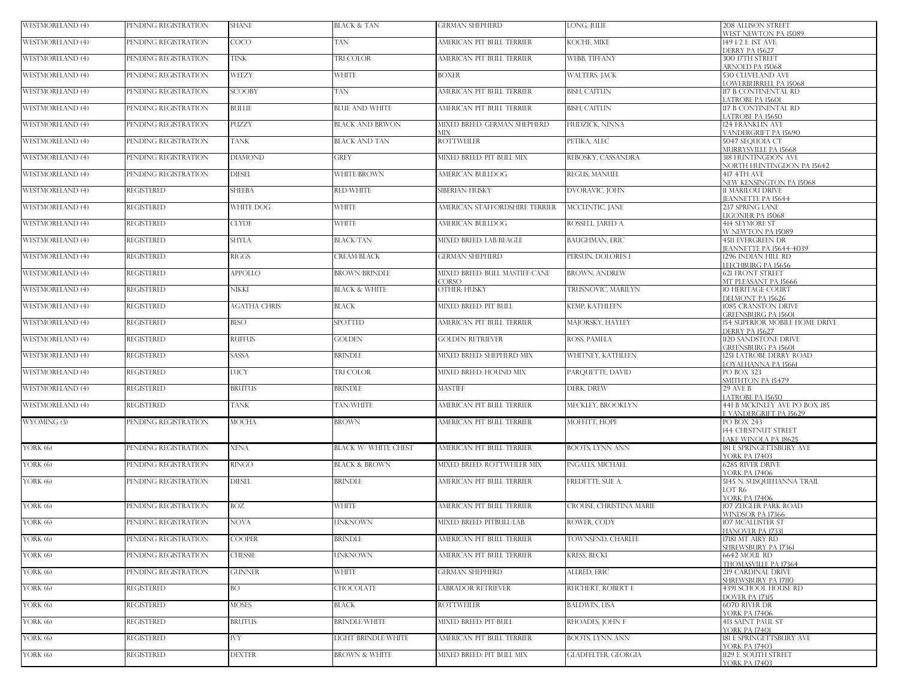| <b>WESTMORELAND (4)</b> | PENDING REGISTRATION | <b>SHANE</b>        | BLACK & TAN                 | <b>GERMAN SHEPHERD</b>                  | LONG, JULIE                | <b>208 ALLISON STREET</b><br>WEST NEWTON PA 15089            |
|-------------------------|----------------------|---------------------|-----------------------------|-----------------------------------------|----------------------------|--------------------------------------------------------------|
| <b>WESTMORELAND (4)</b> | PENDING REGISTRATION | COCO                | TAN                         | AMERICAN PIT BULL TERRIER               | KOCHE, MIKE                | 149 1/2 E. IST AVE.<br><b>DERRY PA 15627</b>                 |
| <b>WESTMORELAND (4)</b> | PENDING REGISTRATION | <b>TINK</b>         | <b>TRI-COLOR</b>            | AMERICAN PIT BULL TERRIER               | WEBB, TIFFANY              | 300 ITTH STREET                                              |
| <b>WESTMORELAND (4)</b> | PENDING REGISTRATION | WEEZY               | <b>WHITE</b>                | <b>BOXER</b>                            | WALTERS, JACK              | ARNOLD PA 15068<br>530 CLEVELAND AVE                         |
| <b>WESTMORELAND (4)</b> | PENDING REGISTRATION | <b>SCOOBY</b>       | TAN                         | AMERICAN PIT BULL TERRIER               | <b>BISH, CAITLIN</b>       | <b>LOWERBURRELL PA 15068</b><br>117 B CONTINENTAL RD         |
| <b>WESTMORELAND (4)</b> | PENDING REGISTRATION | <b>BULLIE</b>       | <b>BLUE AND WHITE</b>       | AMERICAN PIT BULL TERRIER               | <b>BISH, CAITLIN</b>       | ATROBE PA 15601<br>117 B CONTINENTAL RD                      |
| <b>WESTMORELAND (4)</b> | PENDING REGISTRATION | PUZZY               | <b>BLACK AND BRWON</b>      | MIXED BREED: GERMAN SHEPHERD            | HUDZICK, NINNA             | ATROBE PA 15650<br>124 FRANKLIN AVE                          |
| <b>WESTMORELAND (4)</b> | PENDING REGISTRATION | <b>TANK</b>         | <b>BLACK AND TAN</b>        | MIX<br><b>ROTTWEILER</b>                | PETIKA, ALEC               | VANDERGRIFT PA 15690<br><b>5047 SEOUOIA CT</b>               |
| <b>WESTMORELAND (4)</b> | PENDING REGISTRATION | <b>DIAMOND</b>      | GREY                        | MIXED BREED: PIT BULL MIX               | REBOSKY, CASSANDRA         | MURRYSVILLE PA 15668<br><b>318 HUNTINGDON AVE</b>            |
| <b>WESTMORELAND (4)</b> | PENDING REGISTRATION | <b>DIESEL</b>       | WHITE/BROWN                 | AMERICAN BULLDOG                        | REGUS, MANUEL              | NORTH HUNTINGDON PA 15642<br>417 4TH AVE                     |
| <b>WESTMORELAND (4)</b> | <b>REGISTERED</b>    | <b>SHEEBA</b>       | <b>RED/WHITE</b>            | SIBERIAN HUSKY                          | DVORAVIC, JOHN             | NEW KENSINGTON PA 15068<br>11 MARILOU DRIVE                  |
|                         |                      |                     |                             |                                         |                            | <b>EANNETTE PA 15644</b>                                     |
| <b>WESTMORELAND (4)</b> | <b>REGISTERED</b>    | WHITE DOG           | <b>WHITE</b>                | AMERICAN STAFFORDSHIRE TERRIER          | MCCLINTIC, JANE            | 237 SPRING LANE<br>LIGONIER PA 15068                         |
| <b>WESTMORELAND (4)</b> | <b>REGISTERED</b>    | <b>CLYDE</b>        | <b>WHITE</b>                | AMERICAN BULLDOG                        | ROSSELL, JARED A.          | <b>414 SEYMORE ST</b><br>W NEWTON PA 15089                   |
| <b>WESTMORELAND (4)</b> | <b>REGISTERED</b>    | <b>SHYLA</b>        | BLACK/TAN                   | MIXED BREED: LAB/BEAGLE                 | <b>BAUGHMAN, ERIC</b>      | <b>4511 EVERGREEN DR</b><br><b>EANNETTE PA 15644-4039</b>    |
| <b>WESTMORELAND (4)</b> | <b>REGISTERED</b>    | <b>RIGGS</b>        | <b>CREAM/BLACK</b>          | <b>GERMAN SHEPHERD</b>                  | PERSUN, DOLORES I          | 1296 INDIAN HILL RD<br><b>EFCHBURG PA 15656</b>              |
| <b>WESTMORELAND (4)</b> | <b>REGISTERED</b>    | <b>APPOLLO</b>      | <b>BROWN/BRINDLE</b>        | MIXED BREED: BULL MASTIFF/CANE<br>CORSO | <b>BROWN, ANDREW</b>       | <b>621 FRONT STREET</b><br>MT PLEASANT PA 15666              |
| <b>WESTMORELAND (4)</b> | <b>REGISTERED</b>    | NIKKI               | <b>BLACK &amp; WHITE</b>    | OTHER: HUSKY                            | TRUSNOVIC, MARILYN         | <b>10 HERITAGE COURT</b><br>DELMONT PA 15626                 |
| WESTMORELAND (4)        | <b>REGISTERED</b>    | <b>AGATHA CHRIS</b> | BLACK                       | MIXED BREED: PIT BULL                   | KEMP, KATHLEEN             | 1085 CRANSTON DRIVE                                          |
| <b>WESTMORELAND (4)</b> | <b>REGISTERED</b>    | <b>BESO</b>         | SPOTTED                     | AMERICAN PIT BULL TERRIER               | MAJORSKY, HAYLEY           | GREENSBURG PA 15601<br><b>154 SUPERIOR MOBILE HOME DRIVE</b> |
| <b>WESTMORELAND (4)</b> | <b>REGISTERED</b>    | <b>RUFFUS</b>       | GOLDEN                      | <b>GOLDEN RETRIEVER</b>                 | ROSS, PAMELA               | <b>DERRY PA 15627</b><br>1120 SANDSTONE DRIVE                |
| <b>WESTMORELAND (4)</b> | <b>REGISTERED</b>    | SASSA               | <b>BRINDLE</b>              | MIXED BREED: SHEPHERD MIX               | WHITNEY, KATHLEEN          | <b>GREENSBURG PA 15601</b><br>1251 LATROBE DERRY ROAD        |
| <b>WESTMORELAND (4)</b> | <b>REGISTERED</b>    | LUCY                | TRI-COLOR                   | MIXED BREED: HOUND MIX                  | PARQUETTE, DAVID           | LOYALHANNA PA 15661<br>PO BOX 323                            |
| <b>WESTMORELAND (4)</b> | <b>REGISTERED</b>    | <b>BRUTUS</b>       | <b>BRINDLE</b>              | <b>MASTIFF</b>                          | DERK, DREW                 | SMITHTON PA 15479<br>29 AVE B                                |
| <b>WESTMORELAND (4)</b> | <b>REGISTERED</b>    | TANK                | <b><i>FAN/WHITE</i></b>     | AMERICAN PIT BULL TERRIER               | MECKLEY, BROOKLYN          | ATROBE PA 15650<br>441 B MCKINLEY AVE PO BOX 185             |
| WYOMING (3)             | PENDING REGISTRATION | <b>MOCHA</b>        | BROWN                       | AMERICAN PIT BULL TERRIER               | MOFFITT, HOPE              | VANDERGRIFT PA 15629<br><b>PO BOX 243</b>                    |
|                         |                      |                     |                             |                                         |                            | 144 CHESTNUT STREET<br>AKE WINOLA PA 18625                   |
| YORK $(6)$              | PENDING REGISTRATION | <b>XENA</b>         | <b>BLACK W/ WHITE CHEST</b> | AMERICAN PIT BULL TERRIER               | BOOTS, LYNN ANN            | 181 E SPRINGETTSBURY AVE                                     |
| YORK $(6)$              | PENDING REGISTRATION | RINGO               | <b>BLACK &amp; BROWN</b>    | MIXED BREED: ROTTWEILER MIX             | INGALLS, MICHAEL           | <b>YORK PA 17403</b><br><b>6285 RIVER DRIVE</b>              |
| YORK (6)                | PENDING REGISTRATION | <b>DIESEL</b>       | <b>BRINDLE</b>              | AMERICAN PIT BULL TERRIER               | FREDETTE, SUE A.           | <b>YORK PA 17406</b><br>5145 N. SUSQUEHANNA TRAIL            |
|                         |                      |                     |                             |                                         |                            | LOT R6<br>YORK PA 17406                                      |
| YORK $(6)$              | PENDING REGISTRATION | <b>BOZ</b>          | WHITE                       | AMERICAN PIT BULL TERRIER               | CROUSE, CHRISTINA MARIE    | 107 ZEIGLER PARK ROAD<br>WINDSOR PA 17366                    |
| YORK $(6)$              | PENDING REGISTRATION | NOVA                | <b>UNKNOWN</b>              | MIXED BREED: PITBULL/LAB                | ROWER, CODY                | 107 MCALLISTER ST<br>HANOVER PA 17331                        |
| YORK $(6)$              | PENDING REGISTRATION | <b>COOPER</b>       | <b>BRINDLE</b>              | AMERICAN PIT BULL TERRIER               | TOWNSEND, CHARLEE          | 17181 MT AIRY RD<br>SHREWSBURY PA 17361                      |
| YORK (6)                | PENDING REGISTRATION | <b>CHESSIE</b>      | <b>UNKNOWN</b>              | AMERICAN PIT BULL TERRIER               | KRESS, BECKI               | 6642 MOUL RD                                                 |
| YORK (6)                | PENDING REGISTRATION | <b>GUNNER</b>       | <b>WHITE</b>                | <b>GERMAN SHEPHERD</b>                  | ALLRED, ERIC               | THOMASVILLE PA 17364<br>219 CARDINAL DRIVE                   |
| YORK $(6)$              | <b>REGISTERED</b>    | BO.                 | CHOCOLATE                   | LABRADOR RETRIEVER                      | REICHERT, ROBERT E         | SHREWSBURY PA 17110<br>4391 SCHOOL HOUSE RD                  |
| YORK $(6)$              | <b>REGISTERED</b>    | <b>MOSES</b>        | <b>BLACK</b>                | <b>ROTTWEILER</b>                       | <b>BALDWIN, LISA</b>       | DOVER PA 17315<br><b>6070 RIVER DR</b>                       |
| YORK $(6)$              | <b>REGISTERED</b>    | BRUTUS              | <b>BRINDLE/WHITE</b>        | MIXED BREED: PIT-BULL                   | RHOADES, JOHN F            | <b>YORK PA 17406</b><br><b>413 SAINT PAUL ST</b>             |
| YORK $(6)$              | <b>REGISTERED</b>    | <b>IVY</b>          | LIGHT BRINDLE/WHITE         | AMERICAN PIT BULL TERRIER               | BOOTS, LYNN ANN            | <b>YORK PA 17401</b><br>181 E SPRINGETTSBURY AVE             |
| YORK $(6)$              | <b>REGISTERED</b>    | <b>DEXTER</b>       | <b>BROWN &amp; WHITE</b>    | MIXED BREED: PIT BULL MIX               | <b>GLADFELTER, GEORGIA</b> | <b>YORK PA 17403</b><br>1129 E. SOUTH STREET                 |
|                         |                      |                     |                             |                                         |                            | <b>YORK PA 17403</b>                                         |